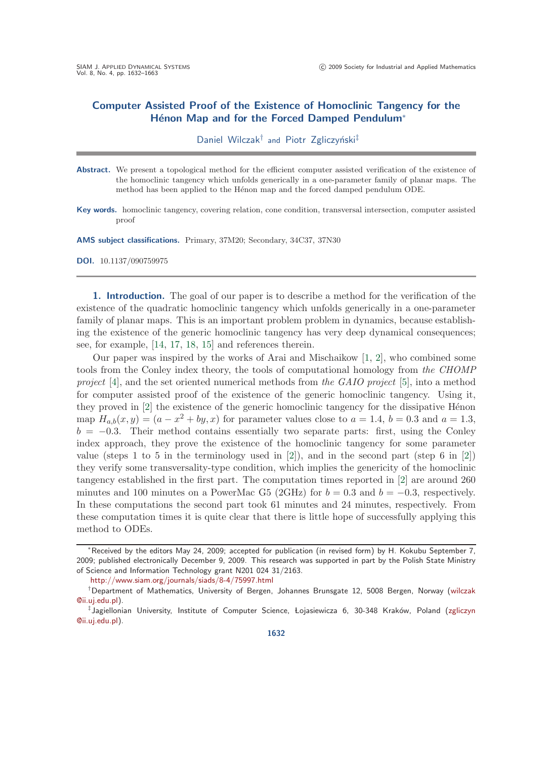# **Computer Assisted Proof of the Existence of Homoclinic Tangency for the Hénon Map and for the Forced Damped Pendulum<sup>\*</sup>**

Daniel Wilczak<sup>†</sup> and Piotr Zgliczyński<sup>‡</sup>

- Abstract. We present a topological method for the efficient computer assisted verification of the existence of the homoclinic tangency which unfolds generically in a one-parameter family of planar maps. The method has been applied to the Hénon map and the forced damped pendulum ODE.
- **Key words.** homoclinic tangency, covering relation, cone condition, transversal intersection, computer assisted proof

**AMS subject classifications.** Primary, 37M20; Secondary, 34C37, 37N30

**DOI.** 10.1137/090759975

**1. Introduction.** The goal of our paper is to describe a method for the verification of the existence of the quadratic homoclinic tangency which unfolds generically in a one-parameter family of planar maps. This is an important problem problem in dynamics, because establishing the existence of the generic homoclinic tangency has very deep dynamical consequences; see, for example, [\[14,](#page-31-0) [17,](#page-31-1) [18,](#page-31-2) [15\]](#page-31-3) and references therein.

Our paper was inspired by the works of Arai and Mischaikow [\[1,](#page-31-4) [2\]](#page-31-5), who combined some tools from the Conley index theory, the tools of computational homology from *the CHOMP project* [\[4\]](#page-31-6), and the set oriented numerical methods from *the GAIO project* [\[5\]](#page-31-7), into a method for computer assisted proof of the existence of the generic homoclinic tangency. Using it, they proved in  $[2]$  the existence of the generic homoclinic tangency for the dissipative Hénon map  $H_{a,b}(x,y)=(a-x^2+by,x)$  for parameter values close to  $a=1.4$ ,  $b=0.3$  and  $a=1.3$ ,  $b = -0.3$ . Their method contains essentially two separate parts: first, using the Conley index approach, they prove the existence of the homoclinic tangency for some parameter value (steps 1 to 5 in the terminology used in [\[2\]](#page-31-5)), and in the second part (step 6 in [2]) they verify some transversality-type condition, which implies the genericity of the homoclinic tangency established in the first part. The computation times reported in [\[2\]](#page-31-5) are around 260 minutes and 100 minutes on a PowerMac G5 (2GHz) for  $b = 0.3$  and  $b = -0.3$ , respectively. In these computations the second part took 61 minutes and 24 minutes, respectively. From these computation times it is quite clear that there is little hope of successfully applying this method to ODEs.

<sup>∗</sup>Received by the editors May 24, 2009; accepted for publication (in revised form) by H. Kokubu September 7, 2009; published electronically December 9, 2009. This research was supported in part by the Polish State Ministry of Science and Information Technology grant N201 024 31/2163.

<http://www.siam.org/journals/siads/8-4/75997.html>

<sup>†</sup>Department of Mathematics, University of Bergen, Johannes Brunsgate 12, 5008 Bergen, Norway [\(wilczak](mailto:wilczak@ii.uj.edu.pl) [@ii.uj.edu.pl\)](mailto:wilczak@ii.uj.edu.pl).

<sup>‡</sup>Jagiellonian University, Institute of Computer Science, Łojasiewicza 6, 30-348 Kraków, Poland [\(zgliczyn](mailto:zgliczyn@ii.uj.edu.pl) [@ii.uj.edu.pl\)](mailto:zgliczyn@ii.uj.edu.pl).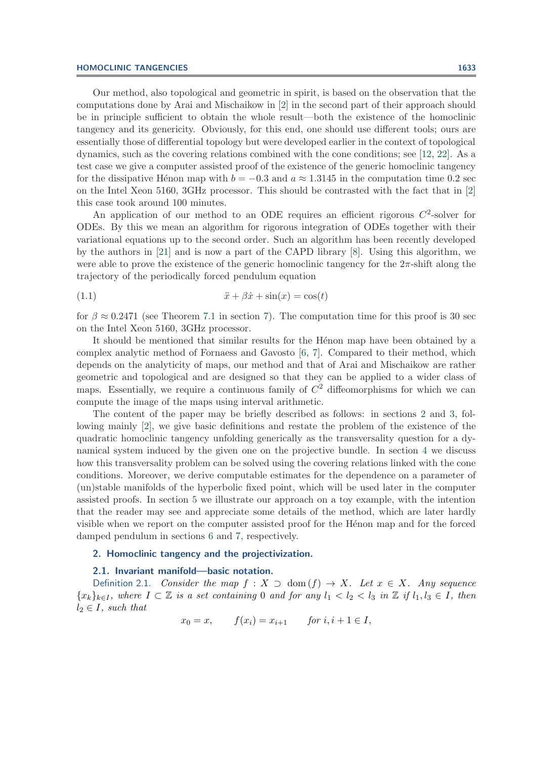## **HOMOCLINIC TANGENCIES 1633**

Our method, also topological and geometric in spirit, is based on the observation that the computations done by Arai and Mischaikow in [\[2\]](#page-31-5) in the second part of their approach should be in principle sufficient to obtain the whole result—both the existence of the homoclinic tangency and its genericity. Obviously, for this end, one should use different tools; ours are essentially those of differential topology but were developed earlier in the context of topological dynamics, such as the covering relations combined with the cone conditions; see [\[12,](#page-31-8) [22\]](#page-31-9). As a test case we give a computer assisted proof of the existence of the generic homoclinic tangency for the dissipative Hénon map with  $b = -0.3$  and  $a \approx 1.3145$  in the computation time 0.2 sec on the Intel Xeon 5160, 3GHz processor. This should be contrasted with the fact that in [\[2\]](#page-31-5) this case took around 100 minutes.

An application of our method to an ODE requires an efficient rigorous  $C^2$ -solver for ODEs. By this we mean an algorithm for rigorous integration of ODEs together with their variational equations up to the second order. Such an algorithm has been recently developed by the authors in [\[21\]](#page-31-10) and is now a part of the CAPD library [\[8\]](#page-31-11). Using this algorithm, we were able to prove the existence of the generic homoclinic tangency for the  $2\pi$ -shift along the trajectory of the periodically forced pendulum equation

$$
(1.1)\qquad \qquad \ddot{x} + \beta \dot{x} + \sin(x) = \cos(t)
$$

for  $\beta \approx 0.2471$  (see Theorem [7.1](#page-24-0) in section [7\)](#page-24-1). The computation time for this proof is 30 sec on the Intel Xeon 5160, 3GHz processor.

It should be mentioned that similar results for the Hénon map have been obtained by a complex analytic method of Fornaess and Gavosto [\[6,](#page-31-12) [7\]](#page-31-13). Compared to their method, which depends on the analyticity of maps, our method and that of Arai and Mischaikow are rather geometric and topological and are designed so that they can be applied to a wider class of maps. Essentially, we require a continuous family of  $C<sup>2</sup>$  diffeomorphisms for which we can compute the image of the maps using interval arithmetic.

The content of the paper may be briefly described as follows: in sections [2](#page-1-0) and [3,](#page-5-0) following mainly [\[2\]](#page-31-5), we give basic definitions and restate the problem of the existence of the quadratic homoclinic tangency unfolding generically as the transversality question for a dynamical system induced by the given one on the projective bundle. In section [4](#page-7-0) we discuss how this transversality problem can be solved using the covering relations linked with the cone conditions. Moreover, we derive computable estimates for the dependence on a parameter of (un)stable manifolds of the hyperbolic fixed point, which will be used later in the computer assisted proofs. In section [5](#page-10-0) we illustrate our approach on a toy example, with the intention that the reader may see and appreciate some details of the method, which are later hardly visible when we report on the computer assisted proof for the Henon map and for the forced damped pendulum in sections [6](#page-15-0) and [7,](#page-24-1) respectively.

# <span id="page-1-0"></span>**2. Homoclinic tangency and the projectivization.**

# **2.1. Invariant manifold—basic notation.**

Definition 2.1. *Consider the map*  $f : X \supset \text{dom}(f) \rightarrow X$ *. Let*  $x \in X$ *. Any sequence*  ${x_k}_{k\in I}$ *, where*  $I \subset \mathbb{Z}$  *is a set containing* 0 *and for any*  $l_1 < l_2 < l_3$  *in*  $\mathbb{Z}$  *if*  $l_1, l_3 \in I$ *, then*  $l_2 \in I$ *, such that* 

$$
x_0 = x
$$
,  $f(x_i) = x_{i+1}$  for  $i, i+1 \in I$ ,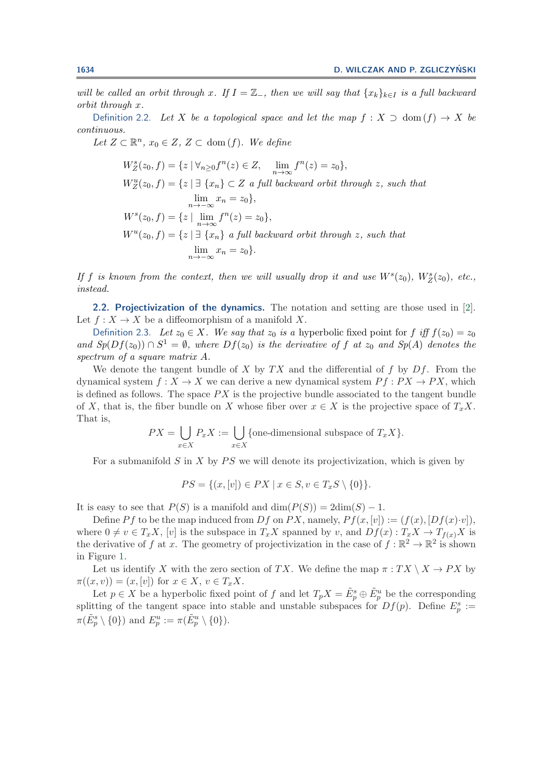*will be called an orbit through* x. If  $I = \mathbb{Z}_-$ , then we will say that  $\{x_k\}_{k \in I}$  is a full backward *orbit through* x*.*

Definition 2.2. *Let* X *be a topological space and let the map*  $f : X \supset \text{dom}(f) \rightarrow X$  *be continuous.*

*Let*  $Z \subset \mathbb{R}^n$ ,  $x_0 \in Z$ ,  $Z \subset \text{dom}(f)$ *. We define* 

$$
W_Z^s(z_0, f) = \{z \mid \forall_{n \ge 0} f^n(z) \in Z, \lim_{n \to \infty} f^n(z) = z_0\},
$$
  
\n
$$
W_Z^u(z_0, f) = \{z \mid \exists \{x_n\} \subset Z \text{ a full backward orbit through } z, \text{ such that}
$$
  
\n
$$
\lim_{n \to \infty} x_n = z_0\},
$$
  
\n
$$
W^s(z_0, f) = \{z \mid \lim_{n \to \infty} f^n(z) = z_0\},
$$
  
\n
$$
W^u(z_0, f) = \{z \mid \exists \{x_n\} \text{ a full backward orbit through } z, \text{ such that}
$$
  
\n
$$
\lim_{n \to \infty} x_n = z_0\}.
$$

*If* f is known from the context, then we will usually drop it and use  $W^s(z_0)$ ,  $W^s_Z(z_0)$ , etc., instead *instead.*

**2.2. Projectivization of the dynamics.** The notation and setting are those used in [\[2\]](#page-31-5). Let  $f: X \to X$  be a diffeomorphism of a manifold X.

Definition 2.3. *Let*  $z_0 \in X$ *. We say that*  $z_0$  *is a* hyperbolic fixed point for f iff  $f(z_0) = z_0$ *and Sp*( $Df(z_0)$ ) ∩  $S^1 = \emptyset$ *, where*  $Df(z_0)$  *is the derivative of* f *at*  $z_0$  *and Sp*(A) *denotes the spectrum of a square matrix* A*.*

We denote the tangent bundle of X by  $TX$  and the differential of f by  $Df$ . From the dynamical system  $f: X \to X$  we can derive a new dynamical system  $P f: PX \to PX$ , which is defined as follows. The space  $PX$  is the projective bundle associated to the tangent bundle of X, that is, the fiber bundle on X whose fiber over  $x \in X$  is the projective space of  $T_xX$ . That is,

$$
PX = \bigcup_{x \in X} P_x X := \bigcup_{x \in X} \{ \text{one-dimensional subspace of } T_x X \}.
$$

For a submanifold S in X by  $PS$  we will denote its projectivization, which is given by

$$
PS = \{(x, [v]) \in PX \mid x \in S, v \in T_x S \setminus \{0\}\}.
$$

It is easy to see that  $P(S)$  is a manifold and  $\dim(P(S)) = 2\dim(S) - 1$ .

Define Pf to be the map induced from Df on PX, namely,  $Pf(x,[v]) := (f(x), [Df(x)\cdot v]),$ where  $0 \neq v \in T_xX$ ,  $[v]$  is the subspace in  $T_xX$  spanned by v, and  $Df(x) : T_xX \to T_{f(x)}X$  is the derivative of f at x. The geometry of projectivization in the case of  $f : \mathbb{R}^2 \to \mathbb{R}^2$  is shown in Figure [1.](#page-3-0)

Let us identify X with the zero section of TX. We define the map  $\pi : TX \setminus X \to PX$  by  $\pi((x, v)) = (x, [v])$  for  $x \in X, v \in T_x X$ .

Let  $p \in X$  be a hyperbolic fixed point of f and let  $T_p X = \tilde{E}_p^s \oplus \tilde{E}_p^u$  be the corresponding<br>tting of the tangent space into stable and unstable subspaces for  $Df(n)$ . Define  $F^s \to$ splitting of the tangent space into stable and unstable subspaces for  $Df(p)$ . Define  $E_p^s := (\tilde{E}_p^s \setminus \{0\})$  $\pi(\tilde{E}_p^s \setminus \{0\})$  and  $E_p^u := \pi(\tilde{E}_p^u \setminus \{0\}).$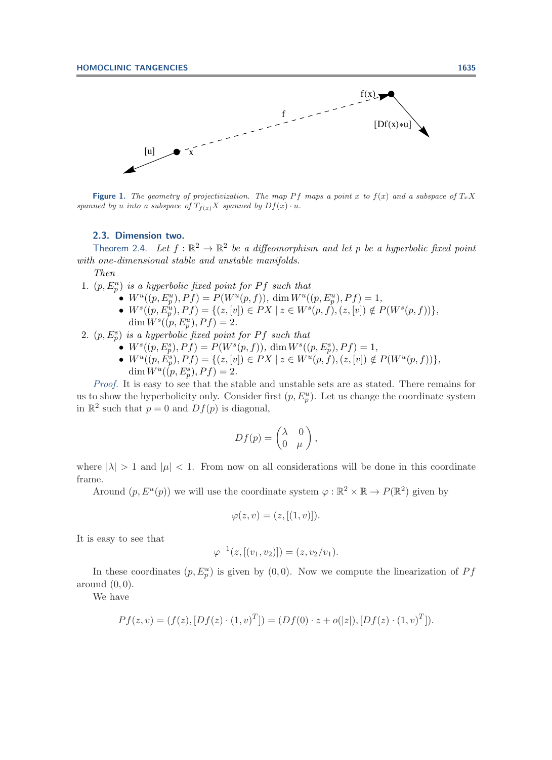

**Figure 1.** The geometry of projectivization. The map Pf maps a point x to  $f(x)$  and a subspace of  $T_xX$ spanned by u into a subspace of  $T_{f(x)}X$  spanned by  $Df(x) \cdot u$ .

## <span id="page-3-1"></span><span id="page-3-0"></span>**2.3. Dimension two.**

Theorem 2.4. Let  $f : \mathbb{R}^2 \to \mathbb{R}^2$  be a diffeomorphism and let p be a hyperbolic fixed point *with one-dimensional stable and unstable manifolds.*

*Then*

1.  $(p, E_p^u)$  *is a hyperbolic fixed point for* Pf *such that*<br> $\bullet$   $W^u((p, E^u) \cap Pf) = P(W^u(p, f)) \dim W^u(p)$ 

- - $W^u((p, E_p^u), Pf) = P(W^u(p, f)), \dim W^u((p, E_p^u), Pf) = 1,$ <br>
	  $W^s((p, E_p^u), Pf) = \{(z, [v]) \in PX \mid z \in W^s(p, f), (z, [v]) \notin P(W^s(p, f))\},\$ <br>  $\dim W^s((p, F^u), Pf) = 2$  $\dim W^s((p, E_p^u), Pf) = 2.$ <br>is a hyperholic fixed point.
- 2.  $(p, E_p^s)$  *is a hyperbolic fixed point for* P f *such that*<br>  $\bullet$   $W^s((p, F^s) \cap P^f) = P(W^s(p, f)) \dim W^s(f)$ 
	- $W^s((p, E_p^s), Pf) = P(W^s(p, f)), \dim W^s((p, E_p^s), Pf) = 1,$ <br>•  $W^u((p, E_p^s), Pf) = f(z, [u]) \subset PY \setminus z \subset W^u(p, f)$  (x [al] d
	- $W^u((p, E_p^s), Pf) = \{(z, [v]) \in PX \mid z \in W^u(p, f), (z, [v]) \notin P(W^u(p, f))\},\$ <br>dim  $W^u((p, E^s) \in Pf) = 2$  $\dim W^u((p, E_p^s), Pf) = 2.$

*Proof.* It is easy to see that the stable and unstable sets are as stated. There remains for us to show the hyperbolicity only. Consider first  $(p, E_p^u)$ . Let us change the coordinate system<br>in  $\mathbb{R}^2$  such that  $p = 0$  and  $Df(n)$  is diagonal in  $\mathbb{R}^2$  such that  $p = 0$  and  $Df(p)$  is diagonal,

$$
Df(p) = \begin{pmatrix} \lambda & 0 \\ 0 & \mu \end{pmatrix},
$$

where  $|\lambda| > 1$  and  $|\mu| < 1$ . From now on all considerations will be done in this coordinate frame.

Around  $(p, E^u(p))$  we will use the coordinate system  $\varphi : \mathbb{R}^2 \times \mathbb{R} \to P(\mathbb{R}^2)$  given by

$$
\varphi(z,v) = (z, [(1,v)]).
$$

It is easy to see that

$$
\varphi^{-1}(z, [(v_1, v_2)]) = (z, v_2/v_1).
$$

In these coordinates  $(p, E_p^u)$  is given by  $(0, 0)$ . Now we compute the linearization of  $Pf$ around  $(0,0)$ .

We have

$$
Pf(z, v) = (f(z), [Df(z) \cdot (1, v)^{T}]) = (Df(0) \cdot z + o(|z|), [Df(z) \cdot (1, v)^{T}]).
$$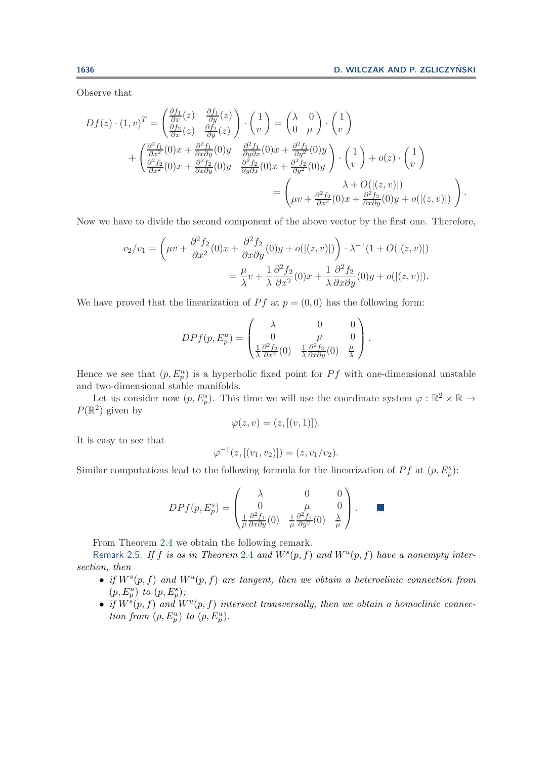Observe that

$$
Df(z) \cdot (1, v)^{T} = \begin{pmatrix} \frac{\partial f_{1}}{\partial x}(z) & \frac{\partial f_{1}}{\partial y}(z) \\ \frac{\partial f_{2}}{\partial x}(z) & \frac{\partial f_{2}}{\partial y}(z) \end{pmatrix} \cdot \begin{pmatrix} 1 \\ v \end{pmatrix} = \begin{pmatrix} \lambda & 0 \\ 0 & \mu \end{pmatrix} \cdot \begin{pmatrix} 1 \\ v \end{pmatrix} + \begin{pmatrix} \frac{\partial^{2} f_{1}}{\partial x^{2}}(0)x + \frac{\partial^{2} f_{1}}{\partial x \partial y}(0)y & \frac{\partial^{2} f_{1}}{\partial y \partial x}(0)x + \frac{\partial^{2} f_{1}}{\partial y^{2}}(0)y \\ \frac{\partial^{2} f_{2}}{\partial x^{2}}(0)x + \frac{\partial^{2} f_{2}}{\partial x \partial y}(0)y & \frac{\partial^{2} f_{2}}{\partial y \partial x}(0)x + \frac{\partial^{2} f_{2}}{\partial y^{2}}(0)y \end{pmatrix} \cdot \begin{pmatrix} 1 \\ v \end{pmatrix} + o(z) \cdot \begin{pmatrix} 1 \\ v \end{pmatrix} = \begin{pmatrix} \lambda + O(|(z, v)|) \\ \mu v + \frac{\partial^{2} f_{2}}{\partial x^{2}}(0)x + \frac{\partial^{2} f_{2}}{\partial x \partial y}(0)y + o(|(z, v)|) \end{pmatrix}.
$$

Now we have to divide the second component of the above vector by the first one. Therefore,

$$
v_2/v_1 = \left(\mu v + \frac{\partial^2 f_2}{\partial x^2}(0)x + \frac{\partial^2 f_2}{\partial x \partial y}(0)y + o(|(z, v)|)\right) \cdot \lambda^{-1}(1 + O(|(z, v)|))
$$
  
=  $\frac{\mu}{\lambda}v + \frac{1}{\lambda}\frac{\partial^2 f_2}{\partial x^2}(0)x + \frac{1}{\lambda}\frac{\partial^2 f_2}{\partial x \partial y}(0)y + o(|(z, v)|).$ 

We have proved that the linearization of  $Pf$  at  $p = (0,0)$  has the following form:

$$
DPf(p, E_p^u) = \begin{pmatrix} \lambda & 0 & 0 \\ 0 & \mu & 0 \\ \frac{1}{\lambda} \frac{\partial^2 f_2}{\partial x^2}(0) & \frac{1}{\lambda} \frac{\partial^2 f_2}{\partial x \partial y}(0) & \frac{\mu}{\lambda} \end{pmatrix}.
$$

Hence we see that  $(p, E_p^u)$  is a hyperbolic fixed point for  $Pf$  with one-dimensional unstable<br>and two dimensional stable manifolds and two-dimensional stable manifolds.

Let us consider now  $(p, E_p^s)$ . This time we will use the coordinate system  $\varphi : \mathbb{R}^2 \times \mathbb{R} \to$ <br> $\varphi^2$  given by  $P(\mathbb{R}^2)$  given by

$$
\varphi(z,v) = (z, [(v,1)]).
$$

It is easy to see that

$$
\varphi^{-1}(z, [(v_1, v_2)]) = (z, v_1/v_2).
$$

Similar computations lead to the following formula for the linearization of  $Pf$  at  $(p, E_p^s)$ :

$$
DPf(p, E_p^s) = \begin{pmatrix} \lambda & 0 & 0 \\ 0 & \mu & 0 \\ \frac{1}{\mu} \frac{\partial^2 f_1}{\partial x \partial y}(0) & \frac{1}{\mu} \frac{\partial^2 f_1}{\partial y^2}(0) & \frac{\lambda}{\mu} \end{pmatrix}.
$$

From Theorem [2.4](#page-3-1) we obtain the following remark.

Remark 2.5. If f is as in Theorem [2.4](#page-3-1) and  $W^s(p, f)$  and  $W^u(p, f)$  have a nonempty inter*section, then*

- *if*  $W^s(p, f)$  *and*  $W^u(p, f)$  *are tangent, then we obtain a heteroclinic connection from*  $(p, E_p^u)$  to  $(p, E_p^s)$ ;<br>*if*  $W^s(p, f)$  and W
- *if*  $W^s(p, f)$  and  $W^u(p, f)$  intersect transversally, then we obtain a homoclinic connec*tion from*  $(p, E_p^u)$  *to*  $(p, E_p^u)$ *.*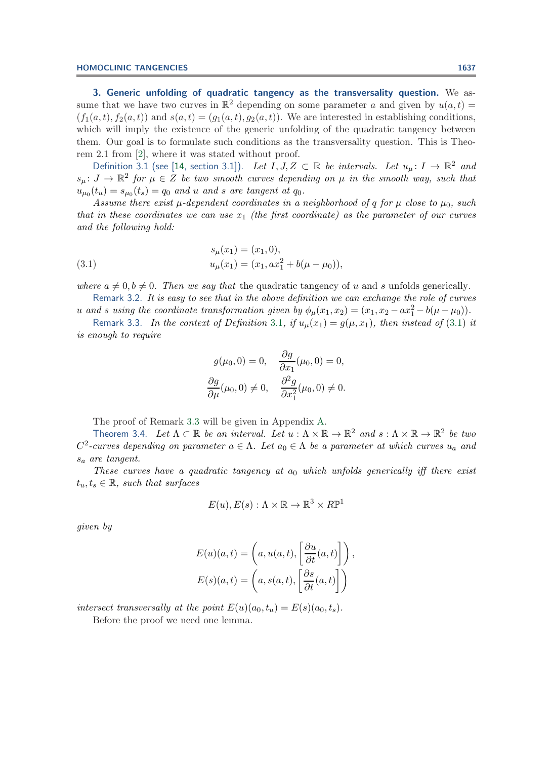<span id="page-5-0"></span>**3. Generic unfolding of quadratic tangency as the transversality question.** We assume that we have two curves in  $\mathbb{R}^2$  depending on some parameter a and given by  $u(a, t) =$  $(f_1(a, t), f_2(a, t))$  and  $s(a, t)=(g_1(a, t), g_2(a, t))$ . We are interested in establishing conditions, which will imply the existence of the generic unfolding of the quadratic tangency between them. Our goal is to formulate such conditions as the transversality question. This is Theorem 2.1 from [\[2\]](#page-31-5), where it was stated without proof.

<span id="page-5-1"></span>Definition 3.1 (see [\[14,](#page-31-0) section 3.1]). *Let*  $I, J, Z \subset \mathbb{R}$  *be intervals. Let*  $u_{\mu} \colon I \to \mathbb{R}^2$  *and*  $s_{\mu}: J \to \mathbb{R}^{2}$  for  $\mu \in Z$  be two smooth curves depending on  $\mu$  in the smooth way, such that  $u_{\mu_0}(t_u) = s_{\mu_0}(t_s) = q_0$  *and u and s are tangent at*  $q_0$ *.* 

*Assume there exist*  $\mu$ -dependent coordinates in a neighborhood of q for  $\mu$  close to  $\mu_0$ , such *that in these coordinates we can use*  $x_1$  *(the first coordinate) as the parameter of our curves and the following hold:*

(3.1) 
$$
s_{\mu}(x_1) = (x_1, 0), u_{\mu}(x_1) = (x_1, ax_1^2 + b(\mu - \mu_0)),
$$

*where*  $a \neq 0, b \neq 0$ . Then we say that the quadratic tangency of u and s unfolds generically.

Remark 3.2. *It is easy to see that in the above definition we can exchange the role of curves* u and s using the coordinate transformation given by  $\phi_{\mu}(x_1, x_2) = (x_1, x_2 - ax_1^2 - b(\mu - \mu_0))$ .<br>
Remark 2.2 In the content of Definition 2.1 if  $\psi(x_1) = \psi(x_2)$ , then instead of (2.1)

Remark 3.3. In the context of Definition [3.1](#page-5-1), if  $u_{\mu}(x_1) = g(\mu, x_1)$ , then instead of [\(3.1\)](#page-5-2) it *is enough to require*

<span id="page-5-3"></span><span id="page-5-2"></span>
$$
g(\mu_0, 0) = 0, \quad \frac{\partial g}{\partial x_1}(\mu_0, 0) = 0,
$$
  

$$
\frac{\partial g}{\partial \mu}(\mu_0, 0) \neq 0, \quad \frac{\partial^2 g}{\partial x_1^2}(\mu_0, 0) \neq 0.
$$

The proof of Remark [3.3](#page-5-3) will be given in Appendix [A.](#page-29-0)

<span id="page-5-4"></span>Theorem 3.4. Let  $\Lambda \subset \mathbb{R}$  *be an interval.* Let  $u : \Lambda \times \mathbb{R} \to \mathbb{R}^2$  *and*  $s : \Lambda \times \mathbb{R} \to \mathbb{R}^2$  *be two*  $C^2$ -curves depending on parameter  $a \in \Lambda$ . Let  $a_0 \in \Lambda$  be a parameter at which curves  $u_a$  and <sup>s</sup>a *are tangent.*

*These curves have a quadratic tangency at a<sub>0</sub> which unfolds generically iff there exist*  $t_u, t_s \in \mathbb{R}$ , such that surfaces

$$
E(u), E(s) : \Lambda \times \mathbb{R} \to \mathbb{R}^3 \times R\mathbb{P}^1
$$

*given by*

$$
E(u)(a,t) = \left(a, u(a,t), \left[\frac{\partial u}{\partial t}(a,t)\right]\right),
$$
  

$$
E(s)(a,t) = \left(a, s(a,t), \left[\frac{\partial s}{\partial t}(a,t)\right]\right)
$$

<span id="page-5-5"></span>*intersect transversally at the point*  $E(u)(a_0, t_u) = E(s)(a_0, t_s)$ .

Before the proof we need one lemma.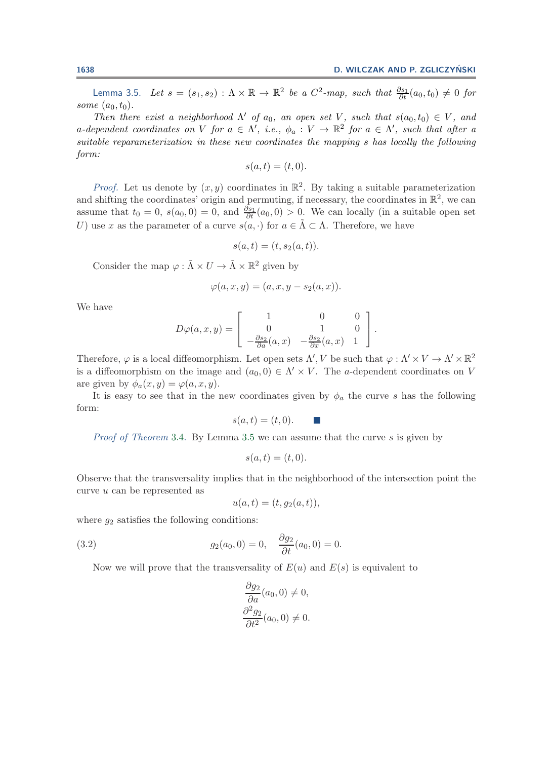Lemma 3.5. *Let*  $s = (s_1, s_2) : \Lambda \times \mathbb{R} \to \mathbb{R}^2$  *be a*  $C^2$ -map, such that  $\frac{\partial s_1}{\partial t}(a_0, t_0) \neq 0$  for *some*  $(a_0, t_0)$ *.* 

*Then there exist a neighborhood*  $\Lambda'$  *of*  $a_0$ *, an open set* V*, such that*  $s(a_0, t_0) \in V$ *, and* a-dependent coordinates on V for  $a \in \Lambda'$ , i.e.,  $\phi_a: V \to \mathbb{R}^2$  for  $a \in \Lambda'$ , such that after a<br>cuitable measure atomization in these near coordinates the manning a hos locally the following *suitable reparameterization in these new coordinates the mapping* s *has locally the following form:*

$$
s(a,t) = (t,0).
$$

*Proof.* Let us denote by  $(x, y)$  coordinates in  $\mathbb{R}^2$ . By taking a suitable parameterization and shifting the coordinates' origin and permuting, if necessary, the coordinates in  $\mathbb{R}^2$ , we can assume that  $t_0 = 0$ ,  $s(a_0, 0) = 0$ , and  $\frac{\partial s_1}{\partial t}(a_0, 0) > 0$ . We can locally (in a suitable open set  $U$ ) use x as the parameter of a curve  $s(a_0, 0)$  for  $a \in \tilde{\Lambda} \subset \Lambda$ . Therefore, we have U) use x as the parameter of a curve  $s(a, \cdot)$  for  $a \in \tilde{\Lambda} \subset \Lambda$ . Therefore, we have

$$
s(a,t) = (t, s_2(a,t)).
$$

Consider the map  $\varphi : \tilde{\Lambda} \times U \to \tilde{\Lambda} \times \mathbb{R}^2$  given by

$$
\varphi(a,x,y)=(a,x,y-s_2(a,x)).
$$

We have

$$
D\varphi(a,x,y) = \begin{bmatrix} 1 & 0 & 0 \\ 0 & 1 & 0 \\ -\frac{\partial s_2}{\partial a}(a,x) & -\frac{\partial s_2}{\partial x}(a,x) & 1 \end{bmatrix}.
$$

Therefore,  $\varphi$  is a local diffeomorphism. Let open sets  $\Lambda', V$  be such that  $\varphi : \Lambda' \times V \to \Lambda' \times \mathbb{R}^2$ is a diffeomorphism on the image and  $(a_0, 0) \in \Lambda' \times V$ . The a-dependent coordinates on V are given by  $\phi_a(x, y) = \varphi(a, x, y)$ .

It is easy to see that in the new coordinates given by  $\phi_a$  the curve s has the following form:

$$
s(a,t) = (t,0). \qquad \blacksquare
$$

*Proof of Theorem* [3.4.](#page-5-4) By Lemma [3.5](#page-5-5) we can assume that the curve s is given by

$$
s(a,t) = (t,0).
$$

Observe that the transversality implies that in the neighborhood of the intersection point the curve u can be represented as

<span id="page-6-0"></span>
$$
u(a,t) = (t, g_2(a,t)),
$$

where  $q_2$  satisfies the following conditions:

(3.2) 
$$
g_2(a_0, 0) = 0, \quad \frac{\partial g_2}{\partial t}(a_0, 0) = 0.
$$

Now we will prove that the transversality of  $E(u)$  and  $E(s)$  is equivalent to

$$
\frac{\partial g_2}{\partial a}(a_0, 0) \neq 0, \n\frac{\partial^2 g_2}{\partial t^2}(a_0, 0) \neq 0.
$$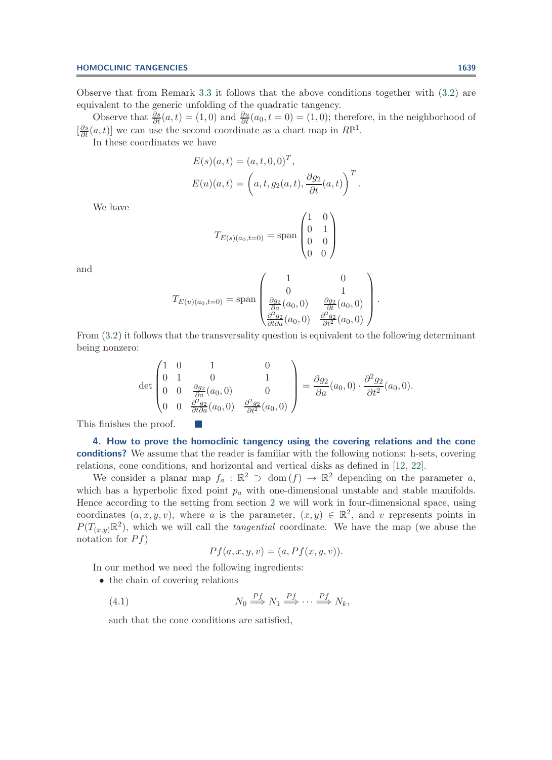Observe that from Remark [3.3](#page-5-3) it follows that the above conditions together with [\(3.2\)](#page-6-0) are equivalent to the generic unfolding of the quadratic tangency.

Observe that  $\frac{\partial s}{\partial t}(a,t) = (1,0)$  and  $\frac{\partial u}{\partial t}(a_0,t=0) = (1,0)$ ; therefore, in the neighborhood of  $\left[\frac{\partial s}{\partial t}(a, t)\right]$  we can use the second coordinate as a chart map in  $R\mathbb{P}^1$ .<br>In these coordinates we have

In these coordinates we have

$$
E(s)(a,t) = (a, t, 0, 0)^T,
$$
  
\n
$$
E(u)(a,t) = \left(a, t, g_2(a,t), \frac{\partial g_2}{\partial t}(a,t)\right)^T.
$$

We have

$$
T_{E(s)(a_0,t=0)} = \text{span}\begin{pmatrix} 1 & 0 \\ 0 & 1 \\ 0 & 0 \\ 0 & 0 \end{pmatrix}
$$

and

$$
T_{E(u)(a_0,t=0)} = \text{span}\begin{pmatrix} 1 & 0 \\ 0 & 1 \\ \frac{\partial g_2}{\partial a}(a_0,0) & \frac{\partial g_2}{\partial t}(a_0,0) \\ \frac{\partial^2 g_2}{\partial t \partial a}(a_0,0) & \frac{\partial^2 g_2}{\partial t^2}(a_0,0) \end{pmatrix}.
$$

From [\(3.2\)](#page-6-0) it follows that the transversality question is equivalent to the following determinant being nonzero:

$$
\det \begin{pmatrix} 1 & 0 & 1 & 0 \\ 0 & 1 & 0 & 1 \\ 0 & 0 & \frac{\partial g_2}{\partial a}(a_0, 0) & 0 \\ 0 & 0 & \frac{\partial^2 g_2}{\partial t \partial a}(a_0, 0) & \frac{\partial^2 g_2}{\partial t^2}(a_0, 0) \end{pmatrix} = \frac{\partial g_2}{\partial a}(a_0, 0) \cdot \frac{\partial^2 g_2}{\partial t^2}(a_0, 0).
$$

<span id="page-7-0"></span>This finishes the proof.

**4. How to prove the homoclinic tangency using the covering relations and the cone conditions?.** We assume that the reader is familiar with the following notions: h-sets, covering relations, cone conditions, and horizontal and vertical disks as defined in [\[12,](#page-31-8) [22\]](#page-31-9).

We consider a planar map  $f_a : \mathbb{R}^2 \supset \text{dom}(f) \to \mathbb{R}^2$  depending on the parameter a, which has a hyperbolic fixed point  $p_a$  with one-dimensional unstable and stable manifolds. Hence according to the setting from section [2](#page-1-0) we will work in four-dimensional space, using coordinates  $(a, x, y, v)$ , where a is the parameter,  $(x, y) \in \mathbb{R}^2$ , and v represents points in  $P(T_{(x,y)}\mathbb{R}^2)$ , which we will call the *tangential* coordinate. We have the map (we abuse the notation for  $P f$ )

<span id="page-7-1"></span>
$$
Pf(a, x, y, v) = (a, Pf(x, y, v)).
$$

In our method we need the following ingredients:

- the chain of covering relations
	- $(4.1)$  $\stackrel{p}{\Longrightarrow} N_1 \stackrel{p}{\Longrightarrow} \cdots \stackrel{p}{\Longrightarrow} N_k,$

such that the cone conditions are satisfied,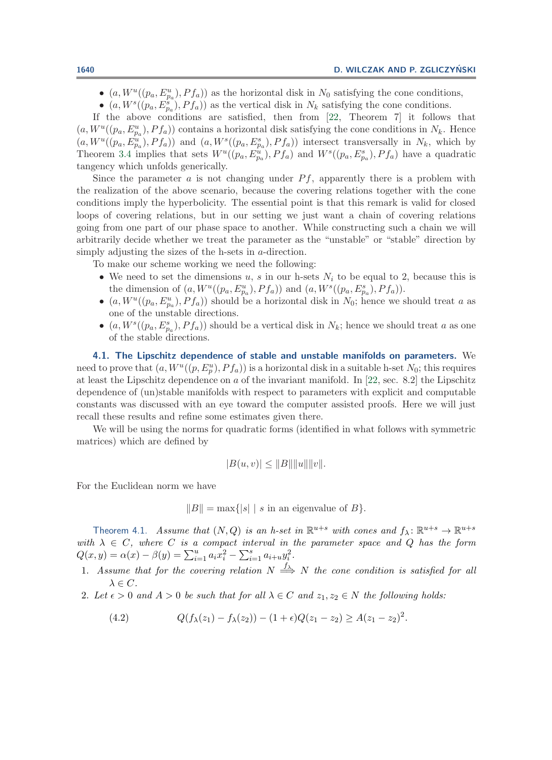- $(a, W^u((p_a, E^u_{p_a}), Pf_a))$  as the horizontal disk in  $N_0$  satisfying the cone conditions,
- $(a, W<sup>s</sup>((p_a, E^s_{p_a}), Pf_a))$  as the vertical disk in  $N_k$  satisfying the cone conditions.

If the above conditions are satisfied, then from [\[22,](#page-31-9) Theorem 7] it follows that  $(a, W^u((p_a, E^u_{pa}), Pf_a))$  contains a horizontal disk satisfying the cone conditions in  $N_k$ . Hence<br> $(a, W^u((p_a, E^u), Pf_a))$  and  $(a, W^s((p_a, E^s), Pf_a))$  intersect transversally in  $N_t$ , which by  $(a, W^u((p_a, E^u_{pa}), Pf_a))$  and  $(a, W^s((p_a, E^s_{pa}), Pf_a))$  intersect transversally in  $N_k$ , which by<br>Theorem 3.4 implies that sets  $W^u((p_a, E^u) \cap Pf_a)$  and  $W^s((p_a, E^s) \cap Pf_a)$  have a quadratic Theorem [3.4](#page-5-4) implies that sets  $W^u((p_a, E^u_{p_a}), Pf_a)$  and  $W^s((p_a, E^s_{p_a}), Pf_a)$  have a quadratic tangency which unfolds congrically tangency which unfolds generically.

Since the parameter  $a$  is not changing under  $Pf$ , apparently there is a problem with the realization of the above scenario, because the covering relations together with the cone conditions imply the hyperbolicity. The essential point is that this remark is valid for closed loops of covering relations, but in our setting we just want a chain of covering relations going from one part of our phase space to another. While constructing such a chain we will arbitrarily decide whether we treat the parameter as the "unstable" or "stable" direction by simply adjusting the sizes of the h-sets in a-direction.

To make our scheme working we need the following:

- We need to set the dimensions u, s in our h-sets  $N_i$  to be equal to 2, because this is the dimension of  $(a, W^u((p_a, E^u_{p_a}), Pf_a))$  and  $(a, W^s((p_a, E^s_{p_a}), Pf_a)).$ <br> $(a, W^u((p_a, E^u), Pf_a))$  should be a horizontal disk in  $N_c$ ; honce we a
- $(a, W^u((p_a, E^u_a), Pf_a))$  should be a horizontal disk in  $N_0$ ; hence we should treat a as one of the unstable directions.
- $(a, W<sup>s</sup>((p<sub>a</sub>, E<sub>p<sub>a</sub><sup>s</sup>), Pf<sub>a</sub>))</sub>$  should be a vertical disk in  $N<sub>k</sub>$ ; hence we should treat a as one of the stable directions of the stable directions.

<span id="page-8-2"></span>**4.1. The Lipschitz dependence of stable and unstable manifolds on parameters.** We need to prove that  $(a, W^u((p, E_p^u), Pf_a))$  is a horizontal disk in a suitable h-set  $N_0$ ; this requires<br>at loss the Linschitz dependence on a of the invariant manifold. In [22, sec. 8, 2] the Linschitz at least the Lipschitz dependence on a of the invariant manifold. In [\[22,](#page-31-9) sec. 8.2] the Lipschitz dependence of (un)stable manifolds with respect to parameters with explicit and computable constants was discussed with an eye toward the computer assisted proofs. Here we will just recall these results and refine some estimates given there.

We will be using the norms for quadratic forms (identified in what follows with symmetric matrices) which are defined by

<span id="page-8-0"></span>
$$
|B(u, v)| \leq ||B|| ||u|| ||v||.
$$

For the Euclidean norm we have

 $||B|| = \max{ |s| | s \text{ in an eigenvalue of } B }$ .

<span id="page-8-1"></span>Theorem 4.1. *Assume that*  $(N, Q)$  *is an h-set in*  $\mathbb{R}^{u+s}$  *with cones and*  $f_{\lambda}: \mathbb{R}^{u+s} \to \mathbb{R}^{u+s}$  *with*  $\lambda \in C$ *, where C is a compact interval in the parameter space and Q has the form*  $Q(x, y) = \alpha(x) - \beta(y) = \sum_{i=1}^{u} a_i x_i^2 - \sum_{i=1}^{s} a_{i+u} y_i^2.$ 

- 1. Assume that for the covering relation  $N \stackrel{f_{\lambda}}{\Longrightarrow} N$  the cone condition is satisfied for all  $\lambda \in C$ .
- 2. Let  $\epsilon > 0$  and  $A > 0$  be such that for all  $\lambda \in C$  and  $z_1, z_2 \in N$  the following holds:
	- (4.2)  $Q(f_{\lambda}(z_1) f_{\lambda}(z_2)) (1 + \epsilon)Q(z_1 z_2) \ge A(z_1 z_2)^2$ .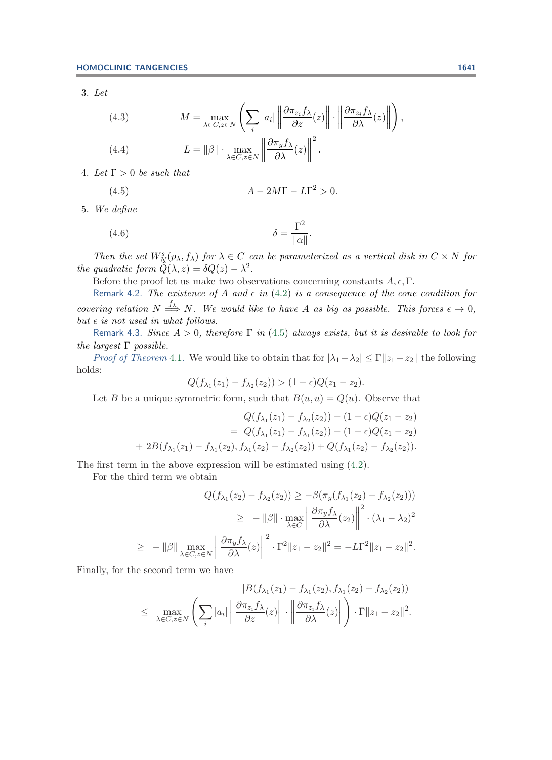3. *Let*

<span id="page-9-1"></span>(4.3) 
$$
M = \max_{\lambda \in C, z \in N} \left( \sum_{i} |a_{i}| \left\| \frac{\partial \pi_{z_{i}} f_{\lambda}}{\partial z}(z) \right\| \cdot \left\| \frac{\partial \pi_{z_{i}} f_{\lambda}}{\partial \lambda}(z) \right\| \right),
$$
  
(4.4) 
$$
L = ||\beta|| \cdot \max_{\lambda \in C, z \in N} \left\| \frac{\partial \pi_{y} f_{\lambda}}{\partial \lambda}(z) \right\|^{2}.
$$

4. Let  $\Gamma > 0$  be such that

<span id="page-9-0"></span>
$$
(4.5) \t\t A - 2M\Gamma - L\Gamma^2 > 0.
$$

5. *We define*

<span id="page-9-2"></span>(4.6) 
$$
\delta = \frac{\Gamma^2}{\|\alpha\|}.
$$

*Then the set*  $W^s_N(p_\lambda, f_\lambda)$  *for*  $\lambda \in C$  *can be parameterized as a vertical disk in*  $C \times N$  *for guadratic form*  $\tilde{O}(\lambda, \alpha) = \delta O(\alpha) - \lambda^2$ *the quadratic form*  $Q(\lambda, z) = \delta Q(z) - \lambda^2$ .

Before the proof let us make two observations concerning constants  $A, \epsilon, \Gamma$ .

Remark 4.2. *The existence of* A and  $\epsilon$  in [\(4.2\)](#page-8-0) is a consequence of the cone condition for *covering relation*  $N \stackrel{f_{\lambda}}{\Longrightarrow} N$ *. We would like to have* A *as big as possible. This forces*  $\epsilon \to 0$ *,*  $but \epsilon$  *is not used in what follows.* 

Remark 4.3. *Since* A > <sup>0</sup>*, therefore* <sup>Γ</sup> *in* [\(4.5\)](#page-9-0) *always exists, but it is desirable to look for the largest* Γ *possible.*

*Proof of Theorem* [4.1.](#page-8-1) We would like to obtain that for  $|\lambda_1 - \lambda_2| \leq \Gamma ||z_1 - z_2||$  the following holds:

$$
Q(f_{\lambda_1}(z_1)-f_{\lambda_2}(z_2))>(1+\epsilon)Q(z_1-z_2).
$$

Let B be a unique symmetric form, such that  $B(u, u) = Q(u)$ . Observe that

$$
Q(f_{\lambda_1}(z_1) - f_{\lambda_2}(z_2)) - (1 + \epsilon)Q(z_1 - z_2)
$$
  
=  $Q(f_{\lambda_1}(z_1) - f_{\lambda_1}(z_2)) - (1 + \epsilon)Q(z_1 - z_2)$   
+  $2B(f_{\lambda_1}(z_1) - f_{\lambda_1}(z_2), f_{\lambda_1}(z_2) - f_{\lambda_2}(z_2)) + Q(f_{\lambda_1}(z_2) - f_{\lambda_2}(z_2)).$ 

The first term in the above expression will be estimated using [\(4.2\)](#page-8-0).

For the third term we obtain

$$
Q(f_{\lambda_1}(z_2) - f_{\lambda_2}(z_2)) \ge -\beta(\pi_y(f_{\lambda_1}(z_2) - f_{\lambda_2}(z_2)))
$$
  
\n
$$
\ge -\|\beta\| \cdot \max_{\lambda \in C} \left\| \frac{\partial \pi_y f_{\lambda}}{\partial \lambda}(z_2) \right\|^2 \cdot (\lambda_1 - \lambda_2)^2
$$
  
\n
$$
\ge -\|\beta\| \max_{\lambda \in C, z \in N} \left\| \frac{\partial \pi_y f_{\lambda}}{\partial \lambda}(z) \right\|^2 \cdot \Gamma^2 \|z_1 - z_2\|^2 = -L\Gamma^2 \|z_1 - z_2\|^2.
$$

Finally, for the second term we have

$$
|B(f_{\lambda_1}(z_1) - f_{\lambda_1}(z_2), f_{\lambda_1}(z_2) - f_{\lambda_2}(z_2))|
$$
  

$$
\leq \max_{\lambda \in C, z \in N} \left( \sum_i |a_i| \left\| \frac{\partial \pi_{z_i} f_{\lambda}}{\partial z}(z) \right\| \cdot \left\| \frac{\partial \pi_{z_i} f_{\lambda}}{\partial \lambda}(z) \right\| \right) \cdot \Gamma \|z_1 - z_2\|^2.
$$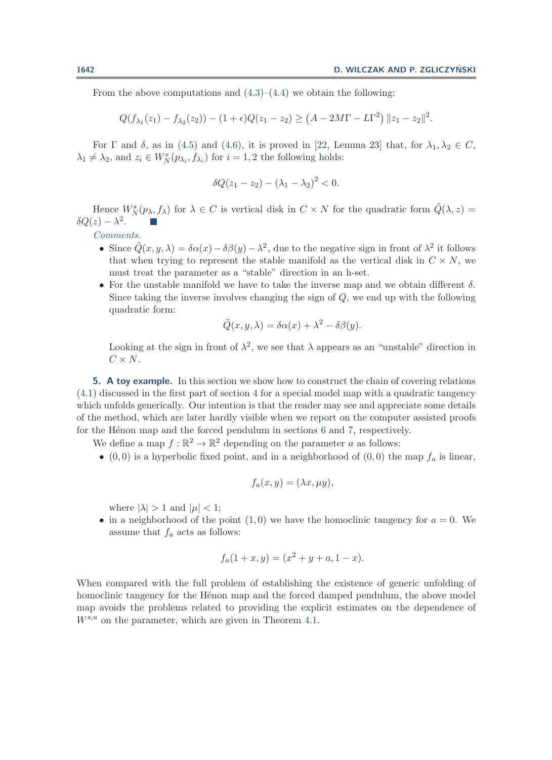From the above computations and  $(4.3)$ – $(4.4)$  we obtain the following:

$$
Q(f_{\lambda_1}(z_1)-f_{\lambda_2}(z_2))-(1+\epsilon)Q(z_1-z_2)\geq (A-2M\Gamma-L\Gamma^2)\,||z_1-z_2||^2.
$$

For  $\Gamma$  and  $\delta$ , as in [\(4.5\)](#page-9-0) and [\(4.6\)](#page-9-2), it is proved in [\[22,](#page-31-9) Lemma 23] that, for  $\lambda_1, \lambda_2 \in C$ ,  $\lambda_1 \neq \lambda_2$ , and  $z_i \in W_N^s(p_{\lambda_i}, f_{\lambda_i})$  for  $i = 1, 2$  the following holds:

$$
\delta Q(z_1 - z_2) - (\lambda_1 - \lambda_2)^2 < 0.
$$

Hence  $W_N^s(p_\lambda, f_\lambda)$  for  $\lambda \in C$  is vertical disk in  $C \times N$  for the quadratic form  $\tilde{Q}(\lambda, z) = z - \lambda^2$  $\delta Q(z) - \lambda^2$ .

*Comments.*

- Since  $\tilde{Q}(x, y, \lambda) = \delta \alpha(x) \delta \beta(y) \lambda^2$ , due to the negative sign in front of  $\lambda^2$  it follows that when trying to represent the stable manifold as the vertical disk in  $C \times N$ , we must treat the parameter as a "stable" direction in an h-set.
- For the unstable manifold we have to take the inverse map and we obtain different  $\delta$ . Since taking the inverse involves changing the sign of  $Q$ , we end up with the following quadratic form:

$$
\tilde{Q}(x, y, \lambda) = \delta \alpha(x) + \lambda^2 - \delta \beta(y).
$$

Looking at the sign in front of  $\lambda^2$ , we see that  $\lambda$  appears as an "unstable" direction in  $C \times N$ .

<span id="page-10-0"></span>**5. A toy example.** In this section we show how to construct the chain of covering relations [\(4.1\)](#page-7-1) discussed in the first part of section [4](#page-7-0) for a special model map with a quadratic tangency which unfolds generically. Our intention is that the reader may see and appreciate some details of the method, which are later hardly visible when we report on the computer assisted proofs for the Hénon map and the forced pendulum in sections [6](#page-15-0) and [7,](#page-24-1) respectively.

We define a map  $f : \mathbb{R}^2 \to \mathbb{R}^2$  depending on the parameter a as follows:

• (0,0) is a hyperbolic fixed point, and in a neighborhood of (0,0) the map  $f_a$  is linear,

$$
f_a(x,y) = (\lambda x, \mu y),
$$

where  $|\lambda| > 1$  and  $|\mu| < 1$ ;

• in a neighborhood of the point  $(1,0)$  we have the homoclinic tangency for  $a = 0$ . We assume that  $f_a$  acts as follows:

$$
f_a(1+x,y) = (x^2 + y + a, 1-x).
$$

When compared with the full problem of establishing the existence of generic unfolding of homoclinic tangency for the Henon map and the forced damped pendulum, the above model map avoids the problems related to providing the explicit estimates on the dependence of  $W^{s,u}$  on the parameter, which are given in Theorem [4.1.](#page-8-1)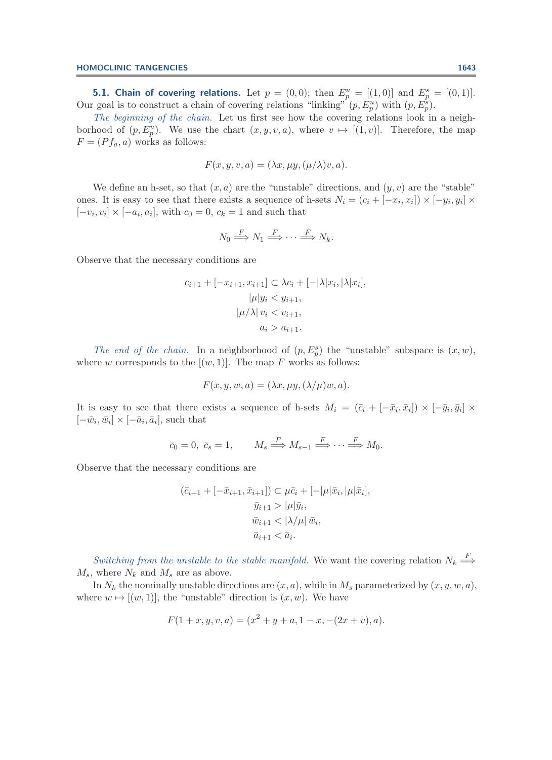**5.1. Chain of covering relations.** Let  $p = (0, 0)$ ; then  $E_p^u = [(1, 0)]$  and  $E_p^s = [(0, 1)]$ .<br>Our goal is to construct a chain of covering relations "linking"  $(p, E_p^u)$  with  $(p, E_p^s)$ .<br>The heginning of the chain. Let us first

*The beginning of the chain.* Let us first see how the covering relations look in a neighborhood of  $(p, E_p^u)$ . We use the chart  $(x, y, v, a)$ , where  $v \mapsto [(1, v)]$ . Therefore, the map  $F - (Pf, a)$  works as follows:  $F = (P f_a, a)$  works as follows:

$$
F(x, y, v, a) = (\lambda x, \mu y, (\mu/\lambda)v, a).
$$

We define an h-set, so that  $(x, a)$  are the "unstable" directions, and  $(y, v)$  are the "stable" ones. It is easy to see that there exists a sequence of h-sets  $N_i = (c_i + [-x_i, x_i]) \times [-y_i, y_i] \times$  $[-v_i, v_i] \times [-a_i, a_i]$ , with  $c_0 = 0$ ,  $c_k = 1$  and such that

$$
N_0 \stackrel{F}{\Longrightarrow} N_1 \stackrel{F}{\Longrightarrow} \cdots \stackrel{F}{\Longrightarrow} N_k.
$$

Observe that the necessary conditions are

$$
c_{i+1} + [-x_{i+1}, x_{i+1}] \subset \lambda c_i + [-|\lambda|x_i, |\lambda|x_i],
$$

$$
|\mu|y_i < y_{i+1},
$$

$$
|\mu/\lambda| v_i < v_{i+1},
$$

$$
a_i > a_{i+1}.
$$

*The end of the chain.* In a neighborhood of  $(p, E_p^s)$  the "unstable" subspace is  $(x, w)$ , where w corresponds to the  $[(w, 1)]$ . The map F works as follows:

$$
F(x, y, w, a) = (\lambda x, \mu y, (\lambda/\mu)w, a).
$$

It is easy to see that there exists a sequence of h-sets  $M_i = (\bar{c}_i + [-\bar{x}_i, \bar{x}_i]) \times [-\bar{y}_i, \bar{y}_i] \times$  $[-\bar{w}_i, \bar{w}_i] \times [-\bar{a}_i, \bar{a}_i]$ , such that

$$
\bar{c}_0 = 0, \ \bar{c}_s = 1, \qquad M_s \stackrel{F}{\Longrightarrow} M_{s-1} \stackrel{F}{\Longrightarrow} \cdots \stackrel{F}{\Longrightarrow} M_0.
$$

Observe that the necessary conditions are

$$
(\bar{c}_{i+1} + [-\bar{x}_{i+1}, \bar{x}_{i+1}]) \subset \mu \bar{c}_i + [-|\mu|\bar{x}_i, |\mu|\bar{x}_i],
$$
  

$$
\bar{y}_{i+1} > |\mu|\bar{y}_i,
$$
  

$$
\bar{w}_{i+1} < |\lambda/\mu| \bar{w}_i,
$$
  

$$
\bar{a}_{i+1} < \bar{a}_i.
$$

*Switching from the unstable to the stable manifold.* We want the covering relation  $N_k \stackrel{\longrightarrow}{\Longrightarrow}$  $M_s$ , where  $N_k$  and  $M_s$  are as above.

In  $N_k$  the nominally unstable directions are  $(x, a)$ , while in  $M_s$  parameterized by  $(x, y, w, a)$ , where  $w \mapsto [(w, 1)]$ , the "unstable" direction is  $(x, w)$ . We have

$$
F(1+x, y, v, a) = (x2 + y + a, 1 - x, -(2x + v), a).
$$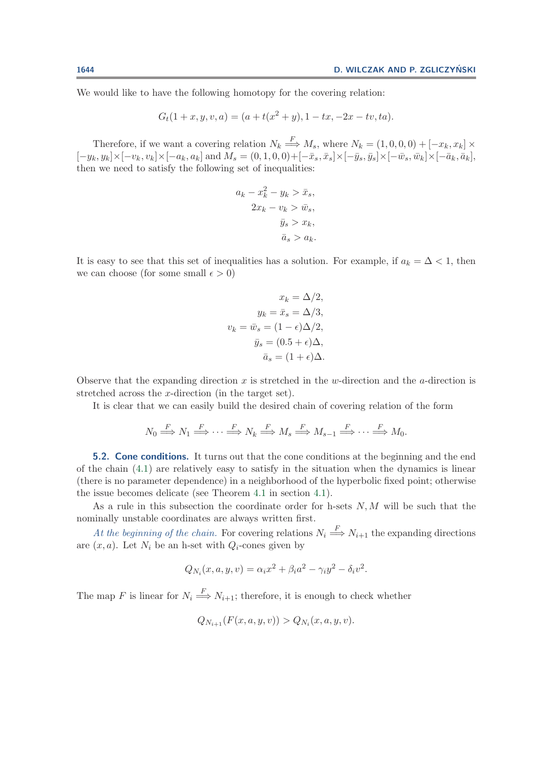We would like to have the following homotopy for the covering relation:

$$
G_t(1+x, y, v, a) = (a + t(x^2 + y), 1 - tx, -2x - tv, ta).
$$

Therefore, if we want a covering relation  $N_k \stackrel{\longrightarrow}{\longrightarrow} M_s$ , where  $N_k = (1, 0, 0, 0) + [-x_k, x_k] \times$  $[-y_k,y_k]\times[-v_k,v_k]\times[-a_k,a_k]\text{ and }\breve{M}_s=(0,1,0,0)+[-\bar{x}_s,\bar{x}_s]\times[-\bar{y}_s,\bar{y}_s]\times[-\bar{w}_s,\bar{w}_k]\times[-\bar{a}_k,\bar{a}_k],$ then we need to satisfy the following set of inequalities:

$$
a_k - x_k^2 - y_k > \bar{x}_s,
$$
  

$$
2x_k - v_k > \bar{w}_s,
$$
  

$$
\bar{y}_s > x_k,
$$
  

$$
\bar{a}_s > a_k.
$$

It is easy to see that this set of inequalities has a solution. For example, if  $a_k = \Delta < 1$ , then we can choose (for some small  $\epsilon > 0$ )

$$
x_k = \Delta/2,
$$
  
\n
$$
y_k = \bar{x}_s = \Delta/3,
$$
  
\n
$$
v_k = \bar{w}_s = (1 - \epsilon)\Delta/2,
$$
  
\n
$$
\bar{y}_s = (0.5 + \epsilon)\Delta,
$$
  
\n
$$
\bar{a}_s = (1 + \epsilon)\Delta.
$$

Observe that the expanding direction x is stretched in the w-direction and the a-direction is stretched across the x-direction (in the target set).

It is clear that we can easily build the desired chain of covering relation of the form

$$
N_0 \stackrel{F}{\Longrightarrow} N_1 \stackrel{F}{\Longrightarrow} \cdots \stackrel{F}{\Longrightarrow} N_k \stackrel{F}{\Longrightarrow} M_s \stackrel{F}{\Longrightarrow} M_{s-1} \stackrel{F}{\Longrightarrow} \cdots \stackrel{F}{\Longrightarrow} M_0.
$$

**5.2. Cone conditions.** It turns out that the cone conditions at the beginning and the end of the chain [\(4.1\)](#page-7-1) are relatively easy to satisfy in the situation when the dynamics is linear (there is no parameter dependence) in a neighborhood of the hyperbolic fixed point; otherwise the issue becomes delicate (see Theorem [4.1](#page-8-1) in section [4.1\)](#page-8-2).

As a rule in this subsection the coordinate order for h-sets  $N, M$  will be such that the nominally unstable coordinates are always written first.

At the beginning of the chain. For covering relations  $N_i \stackrel{\text{F}}{\Longrightarrow} N_{i+1}$  the expanding directions  $(x, \epsilon)$ . Let  $N_i$  be an b set with  $C_i$  cannot given by are  $(x, a)$ . Let  $N_i$  be an h-set with  $Q_i$ -cones given by

$$
Q_{N_i}(x, a, y, v) = \alpha_i x^2 + \beta_i a^2 - \gamma_i y^2 - \delta_i v^2.
$$

The map F is linear for  $N_i \stackrel{\text{f}}{\Longrightarrow} N_{i+1}$ ; therefore, it is enough to check whether

$$
Q_{N_{i+1}}(F(x, a, y, v)) > Q_{N_i}(x, a, y, v).
$$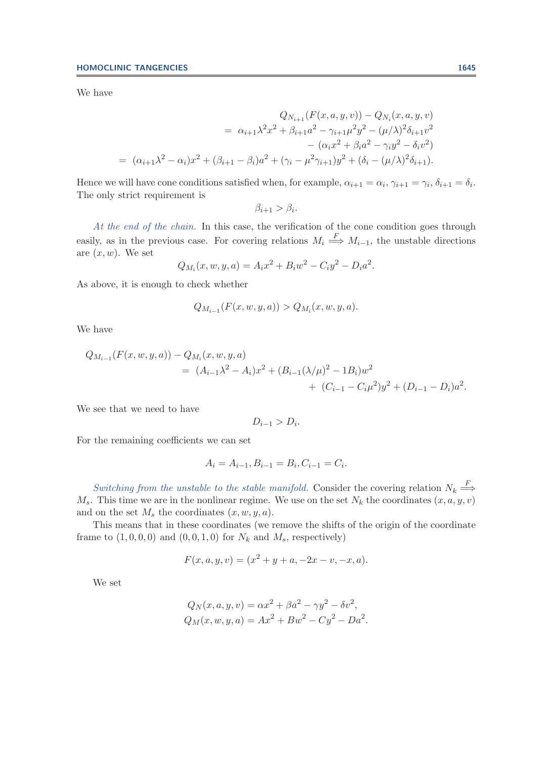We have

$$
Q_{N_{i+1}}(F(x, a, y, v)) - Q_{N_i}(x, a, y, v)
$$
  
=  $\alpha_{i+1} \lambda^2 x^2 + \beta_{i+1} a^2 - \gamma_{i+1} \mu^2 y^2 - (\mu/\lambda)^2 \delta_{i+1} v^2$   
 $-(\alpha_i x^2 + \beta_i a^2 - \gamma_i y^2 - \delta_i v^2)$   
=  $(\alpha_{i+1} \lambda^2 - \alpha_i) x^2 + (\beta_{i+1} - \beta_i) a^2 + (\gamma_i - \mu^2 \gamma_{i+1}) y^2 + (\delta_i - (\mu/\lambda)^2 \delta_{i+1}).$ 

Hence we will have cone conditions satisfied when, for example,  $\alpha_{i+1} = \alpha_i$ ,  $\gamma_{i+1} = \gamma_i$ ,  $\delta_{i+1} = \delta_i$ . The only strict requirement is

$$
\beta_{i+1} > \beta_i.
$$

*At the end of the chain.* In this case, the verification of the cone condition goes through easily, as in the previous case. For covering relations  $M_i \stackrel{\text{f}}{\Longrightarrow} M_{i-1}$ , the unstable directions are  $(x, w)$ . We set

$$
Q_{M_i}(x, w, y, a) = A_i x^2 + B_i w^2 - C_i y^2 - D_i a^2.
$$

As above, it is enough to check whether

$$
Q_{M_{i-1}}(F(x, w, y, a)) > Q_{M_i}(x, w, y, a).
$$

We have

$$
Q_{M_{i-1}}(F(x, w, y, a)) - Q_{M_i}(x, w, y, a)
$$
  
=  $(A_{i-1}\lambda^2 - A_i)x^2 + (B_{i-1}(\lambda/\mu)^2 - 1B_i)w^2$   
+  $(C_{i-1} - C_i\mu^2)y^2 + (D_{i-1} - D_i)a^2$ .

We see that we need to have

$$
D_{i-1} > D_i.
$$

For the remaining coefficients we can set

$$
A_i = A_{i-1}, B_{i-1} = B_i, C_{i-1} = C_i.
$$

*Switching from the unstable to the stable manifold.* Consider the covering relation  $N_k \stackrel{\longrightarrow}{\longrightarrow}$  $M_s$ . This time we are in the nonlinear regime. We use on the set  $N_k$  the coordinates  $(x, a, y, v)$ and on the set  $M_s$  the coordinates  $(x, w, y, a)$ .

This means that in these coordinates (we remove the shifts of the origin of the coordinate frame to  $(1, 0, 0, 0)$  and  $(0, 0, 1, 0)$  for  $N_k$  and  $M_s$ , respectively)

$$
F(x, a, y, v) = (x2 + y + a, -2x - v, -x, a).
$$

We set

$$
Q_N(x, a, y, v) = \alpha x^2 + \beta a^2 - \gamma y^2 - \delta v^2,
$$
  
\n
$$
Q_M(x, w, y, a) = Ax^2 + B w^2 - C y^2 - D a^2.
$$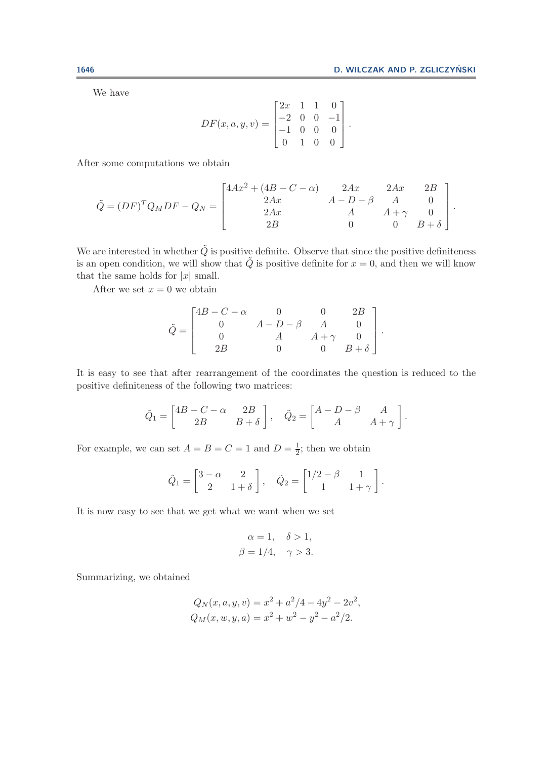We have

$$
DF(x, a, y, v) = \begin{bmatrix} 2x & 1 & 1 & 0 \\ -2 & 0 & 0 & -1 \\ -1 & 0 & 0 & 0 \\ 0 & 1 & 0 & 0 \end{bmatrix}.
$$

After some computations we obtain

$$
\tilde{Q} = (DF)^{T} Q_{M} DF - Q_{N} = \begin{bmatrix} 4Ax^{2} + (4B - C - \alpha) & 2Ax & 2Ax & 2B \\ 2Ax & A - D - \beta & A & 0 \\ 2Ax & A + \gamma & 0 \\ 2B & 0 & 0 & B + \delta \end{bmatrix}.
$$

We are interested in whether  $\tilde{Q}$  is positive definite. Observe that since the positive definiteness is an open condition, we will show that  $\tilde{Q}$  is positive definite for  $x = 0$ , and then we will know that the same holds for  $|x|$  small.

After we set  $x = 0$  we obtain

$$
\tilde{Q} = \begin{bmatrix} 4B - C - \alpha & 0 & 0 & 2B \\ 0 & A - D - \beta & A & 0 \\ 0 & A & A + \gamma & 0 \\ 2B & 0 & 0 & B + \delta \end{bmatrix}.
$$

It is easy to see that after rearrangement of the coordinates the question is reduced to the positive definiteness of the following two matrices:

$$
\tilde{Q}_1 = \begin{bmatrix} 4B - C - \alpha & 2B \\ 2B & B + \delta \end{bmatrix}, \quad \tilde{Q}_2 = \begin{bmatrix} A - D - \beta & A \\ A & A + \gamma \end{bmatrix}.
$$

For example, we can set  $A = B = C = 1$  and  $D = \frac{1}{2}$ ; then we obtain

$$
\tilde{Q}_1 = \begin{bmatrix} 3-\alpha & 2 \\ 2 & 1+\delta \end{bmatrix}, \quad \tilde{Q}_2 = \begin{bmatrix} 1/2-\beta & 1 \\ 1 & 1+\gamma \end{bmatrix}.
$$

It is now easy to see that we get what we want when we set

$$
\alpha = 1, \quad \delta > 1,
$$
  

$$
\beta = 1/4, \quad \gamma > 3.
$$

Summarizing, we obtained

$$
Q_N(x, a, y, v) = x^2 + a^2/4 - 4y^2 - 2v^2,
$$
  
\n
$$
Q_M(x, w, y, a) = x^2 + w^2 - y^2 - a^2/2.
$$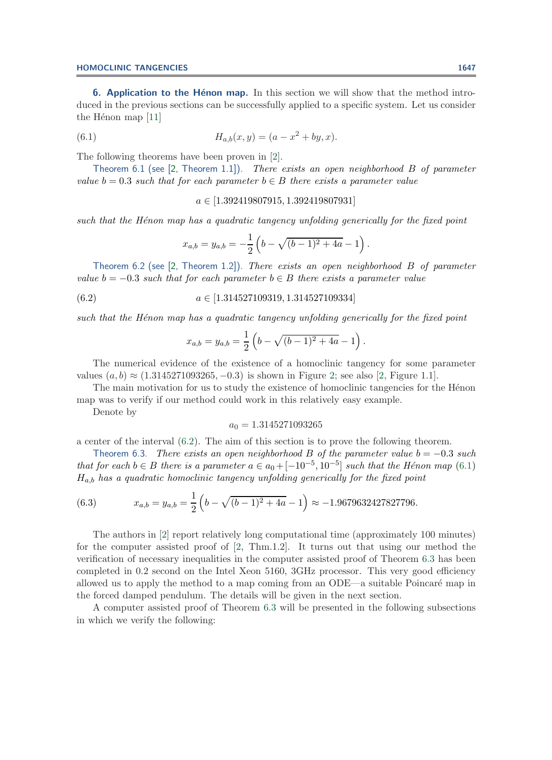<span id="page-15-0"></span>**6. Application to the Hénon map.** In this section we will show that the method introduced in the previous sections can be successfully applied to a specific system. Let us consider the Hénon map  $[11]$ 

<span id="page-15-2"></span>(6.1) 
$$
H_{a,b}(x,y) = (a - x^2 + by, x).
$$

The following theorems have been proven in [\[2\]](#page-31-5).

Theorem 6.1 (see [\[2,](#page-31-5) Theorem 1.1]). *There exists an open neighborhood* <sup>B</sup> *of parameter value*  $b = 0.3$  *such that for each parameter*  $b \in B$  *there exists a parameter value* 

<span id="page-15-1"></span> $a \in [1.392419807915, 1.392419807931]$ 

such that the H $\epsilon$ non map has a quadratic tangency unfolding generically for the fixed point

$$
x_{a,b} = y_{a,b} = -\frac{1}{2} \left( b - \sqrt{(b-1)^2 + 4a} - 1 \right).
$$

Theorem 6.2 (see [\[2,](#page-31-5) Theorem 1.2]). *There exists an open neighborhood* <sup>B</sup> *of parameter value*  $b = -0.3$  *such that for each parameter*  $b \in B$  *there exists a parameter value* 

$$
(6.2) \qquad a \in [1.314527109319, 1.314527109334]
$$

*such that the Hénon map has a quadratic tangency unfolding generically for the fixed point* 

$$
x_{a,b} = y_{a,b} = \frac{1}{2} \left( b - \sqrt{(b-1)^2 + 4a} - 1 \right).
$$

The numerical evidence of the existence of a homoclinic tangency for some parameter values  $(a, b) \approx (1.3145271093265, -0.3)$  is shown in Figure [2;](#page-16-0) see also [\[2,](#page-31-5) Figure 1.1].

The main motivation for us to study the existence of homoclinic tangencies for the Henon map was to verify if our method could work in this relatively easy example.

Denote by

## <span id="page-15-4"></span><span id="page-15-3"></span> $a_0 = 1.3145271093265$

a center of the interval [\(6.2\)](#page-15-1). The aim of this section is to prove the following theorem.

Theorem 6.3. *There exists an open neighborhood* B of the parameter value  $b = -0.3$  *such that for each*  $b \in B$  *there is a parameter*  $a \in a_0 + [-10^{-5}, 10^{-5}]$  *such that the Hénon map* [\(6.1\)](#page-15-2) <sup>H</sup>a,b *has a quadratic homoclinic tangency unfolding generically for the fixed point*

(6.3) 
$$
x_{a,b} = y_{a,b} = \frac{1}{2} \left( b - \sqrt{(b-1)^2 + 4a} - 1 \right) \approx -1.9679632427827796.
$$

The authors in [\[2\]](#page-31-5) report relatively long computational time (approximately 100 minutes) for the computer assisted proof of [\[2,](#page-31-5) Thm.1.2]. It turns out that using our method the verification of necessary inequalities in the computer assisted proof of Theorem [6.3](#page-15-3) has been completed in 0.2 second on the Intel Xeon 5160, 3GHz processor. This very good efficiency allowed us to apply the method to a map coming from an  $ODE$ —a suitable Poincaré map in the forced damped pendulum. The details will be given in the next section.

A computer assisted proof of Theorem [6.3](#page-15-3) will be presented in the following subsections in which we verify the following: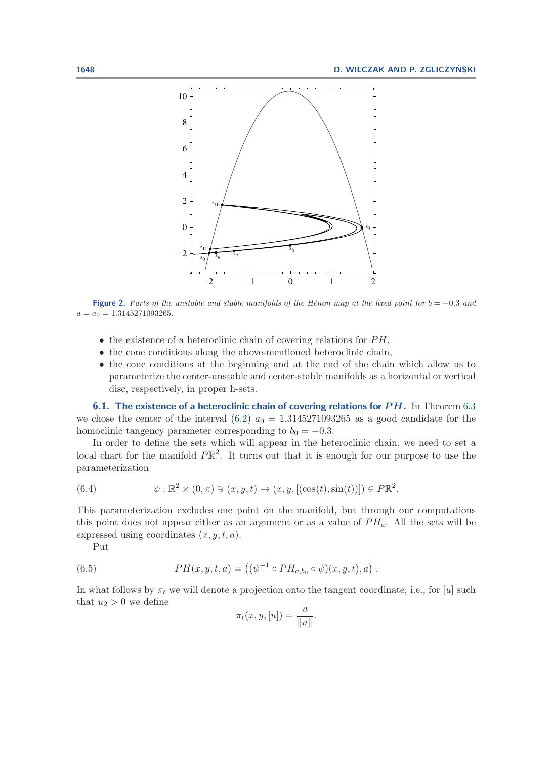

**Figure 2.** Parts of the unstable and stable manifolds of the Hénon map at the fixed point for  $b = -0.3$  and  $a = a_0 = 1.3145271093265.$ 

- <span id="page-16-0"></span> $\bullet$  the existence of a heteroclinic chain of covering relations for  $PH$ ,
- the cone conditions along the above-mentioned heteroclinic chain,
- the cone conditions at the beginning and at the end of the chain which allow us to parameterize the center-unstable and center-stable manifolds as a horizontal or vertical disc, respectively, in proper h-sets.

**6.1. The existence of a heteroclinic chain of covering relations for** *P H***.** In Theorem [6.3](#page-15-3) we chose the center of the interval  $(6.2)$   $a_0 = 1.3145271093265$  as a good candidate for the homoclinic tangency parameter corresponding to  $b_0 = -0.3$ .

In order to define the sets which will appear in the heteroclinic chain, we need to set a local chart for the manifold  $P\mathbb{R}^2$ . It turns out that it is enough for our purpose to use the parameterization

<span id="page-16-1"></span>(6.4) 
$$
\psi : \mathbb{R}^2 \times (0, \pi) \ni (x, y, t) \mapsto (x, y, [(\cos(t), \sin(t))]) \in P\mathbb{R}^2.
$$

This parameterization excludes one point on the manifold, but through our computations this point does not appear either as an argument or as a value of  $PH_a$ . All the sets will be expressed using coordinates  $(x, y, t, a)$ .

Put

(6.5) 
$$
PH(x, y, t, a) = ((\psi^{-1} \circ PH_{a,b_0} \circ \psi)(x, y, t), a).
$$

In what follows by  $\pi_t$  we will denote a projection onto the tangent coordinate; i.e., for [u] such that  $u_2 > 0$  we define

$$
\pi_t(x, y, [u]) = \frac{u}{\|u\|}.
$$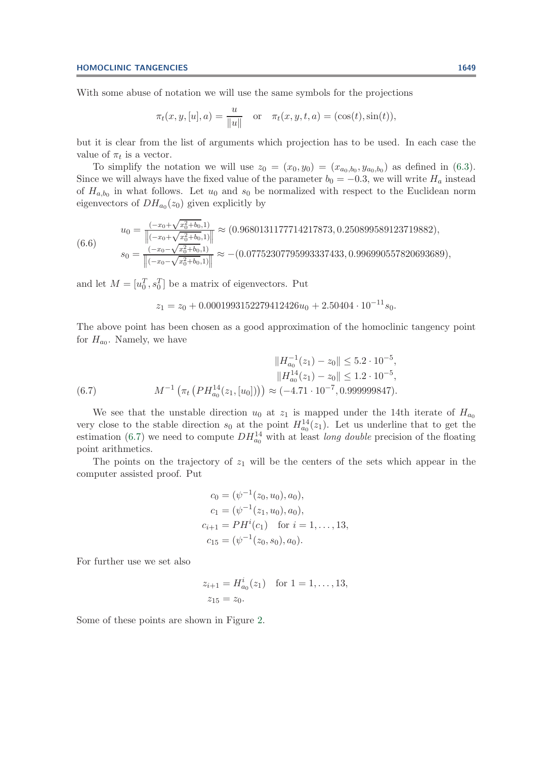With some abuse of notation we will use the same symbols for the projections

<span id="page-17-1"></span>
$$
\pi_t(x, y, [u], a) = \frac{u}{\|u\|}
$$
 or  $\pi_t(x, y, t, a) = (\cos(t), \sin(t)),$ 

but it is clear from the list of arguments which projection has to be used. In each case the value of  $\pi_t$  is a vector.

To simplify the notation we will use  $z_0 = (x_0, y_0) = (x_{a_0, b_0}, y_{a_0, b_0})$  as defined in [\(6.3\)](#page-15-4). Since we will always have the fixed value of the parameter  $b_0 = -0.3$ , we will write  $H_a$  instead of  $H_{a,b_0}$  in what follows. Let  $u_0$  and  $s_0$  be normalized with respect to the Euclidean norm eigenvectors of  $DH_{a_0}(z_0)$  given explicitly by

$$
u_0 = \frac{(-x_0 + \sqrt{x_0^2 + b_0}, 1)}{\left\| (-x_0 + \sqrt{x_0^2 + b_0}, 1) \right\|} \approx (0.9680131177714217873, 0.250899589123719882),
$$
  
\n
$$
s_0 = \frac{(-x_0 - \sqrt{x_0^2 + b_0}, 1)}{\left\| (-x_0 - \sqrt{x_0^2 + b_0}, 1) \right\|} \approx -(0.07752307795993337433, 0.996990557820693689),
$$

and let  $M = [u_0^T, s_0^T]$  be a matrix of eigenvectors. Put

<span id="page-17-0"></span>
$$
z_1 = z_0 + 0.0001993152279412426u_0 + 2.50404 \cdot 10^{-11} s_0.
$$

The above point has been chosen as a good approximation of the homoclinic tangency point for  $H_{a_0}$ . Namely, we have

$$
||H_{a_0}^{-1}(z_1) - z_0|| \leq 5.2 \cdot 10^{-5},
$$
  
\n
$$
||H_{a_0}^{14}(z_1) - z_0|| \leq 1.2 \cdot 10^{-5},
$$
  
\n(6.7)  
\n
$$
M^{-1} \left( \pi_t \left( PH_{a_0}^{14}(z_1, [u_0]) \right) \right) \approx (-4.71 \cdot 10^{-7}, 0.999999847).
$$

We see that the unstable direction  $u_0$  at  $z_1$  is mapped under the 14th iterate of  $H_{a_0}$ very close to the stable direction  $s_0$  at the point  $H_{a_0}^{14}(z_1)$ . Let us underline that to get the estimation [\(6.7\)](#page-17-0) we need to compute  $DH_{a_0}^{14}$  with at least *long double* precision of the floating point arithme point arithmetics.

The points on the trajectory of  $z_1$  will be the centers of the sets which appear in the computer assisted proof. Put

$$
c_0 = (\psi^{-1}(z_0, u_0), a_0),
$$
  
\n
$$
c_1 = (\psi^{-1}(z_1, u_0), a_0),
$$
  
\n
$$
c_{i+1} = PHi(c_1) \text{ for } i = 1, ..., 13,
$$
  
\n
$$
c_{15} = (\psi^{-1}(z_0, s_0), a_0).
$$

For further use we set also

$$
z_{i+1} = H_{a_0}^i(z_1) \text{ for } 1 = 1, ..., 13,
$$
  

$$
z_{15} = z_0.
$$

Some of these points are shown in Figure [2.](#page-16-0)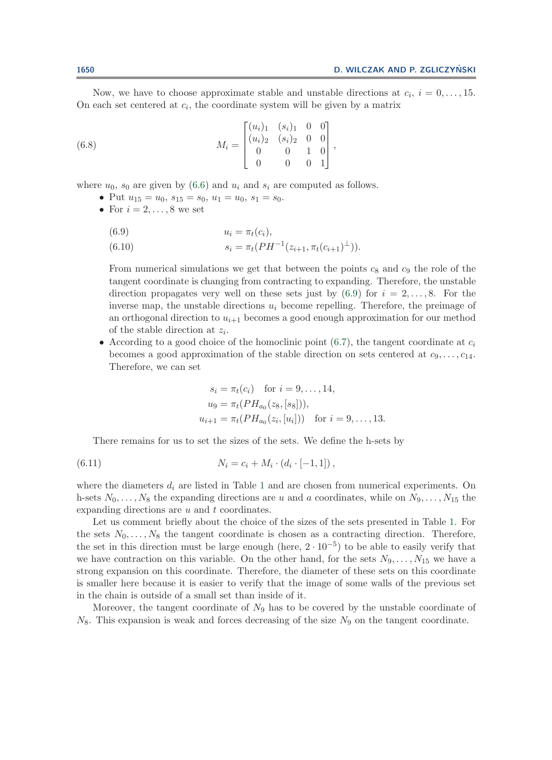Now, we have to choose approximate stable and unstable directions at  $c_i$ ,  $i = 0, \ldots, 15$ . On each set centered at  $c_i$ , the coordinate system will be given by a matrix

(6.8) 
$$
M_{i} = \begin{bmatrix} (u_{i})_{1} & (s_{i})_{1} & 0 & 0 \\ (u_{i})_{2} & (s_{i})_{2} & 0 & 0 \\ 0 & 0 & 1 & 0 \\ 0 & 0 & 0 & 1 \end{bmatrix},
$$

where  $u_0$ ,  $s_0$  are given by [\(6.6\)](#page-17-1) and  $u_i$  and  $s_i$  are computed as follows.

- <span id="page-18-1"></span>• Put  $u_{15} = u_0, s_{15} = s_0, u_1 = u_0, s_1 = s_0.$
- For  $i = 2, \ldots, 8$  we set

<span id="page-18-0"></span>(6.9)  
\n
$$
u_i = \pi_t(c_i),
$$
\n
$$
s_i = \pi_t(PH^{-1}(z_{i+1}, \pi_t(c_{i+1})^{\perp})).
$$

From numerical simulations we get that between the points  $c_8$  and  $c_9$  the role of the tangent coordinate is changing from contracting to expanding. Therefore, the unstable direction propagates very well on these sets just by  $(6.9)$  for  $i = 2, \ldots, 8$ . For the inverse map, the unstable directions  $u_i$  become repelling. Therefore, the preimage of an orthogonal direction to  $u_{i+1}$  becomes a good enough approximation for our method of the stable direction at  $z_i$ .

• According to a good choice of the homoclinic point  $(6.7)$ , the tangent coordinate at  $c_i$ becomes a good approximation of the stable direction on sets centered at  $c_9, \ldots, c_{14}$ . Therefore, we can set

<span id="page-18-2"></span>
$$
s_i = \pi_t(c_i) \text{ for } i = 9, ..., 14,
$$
  
\n
$$
u_9 = \pi_t(PH_{a_0}(z_8, [s_8])),
$$
  
\n
$$
u_{i+1} = \pi_t(PH_{a_0}(z_i, [u_i])) \text{ for } i = 9, ..., 13.
$$

There remains for us to set the sizes of the sets. We define the h-sets by

(6.11) 
$$
N_i = c_i + M_i \cdot (d_i \cdot [-1, 1]),
$$

where the diameters  $d_i$  are listed in Table [1](#page-19-0) and are chosen from numerical experiments. On h-sets  $N_0, \ldots, N_8$  the expanding directions are u and a coordinates, while on  $N_9, \ldots, N_{15}$  the expanding directions are  $u$  and  $t$  coordinates.

Let us comment briefly about the choice of the sizes of the sets presented in Table [1.](#page-19-0) For the sets  $N_0, \ldots, N_8$  the tangent coordinate is chosen as a contracting direction. Therefore, the set in this direction must be large enough (here,  $2 \cdot 10^{-5}$ ) to be able to easily verify that we have contraction on this variable. On the other hand, for the sets  $N_9, \ldots, N_{15}$  we have a strong expansion on this coordinate. Therefore, the diameter of these sets on this coordinate is smaller here because it is easier to verify that the image of some walls of the previous set in the chain is outside of a small set than inside of it.

Moreover, the tangent coordinate of  $N_9$  has to be covered by the unstable coordinate of  $N_8$ . This expansion is weak and forces decreasing of the size  $N_9$  on the tangent coordinate.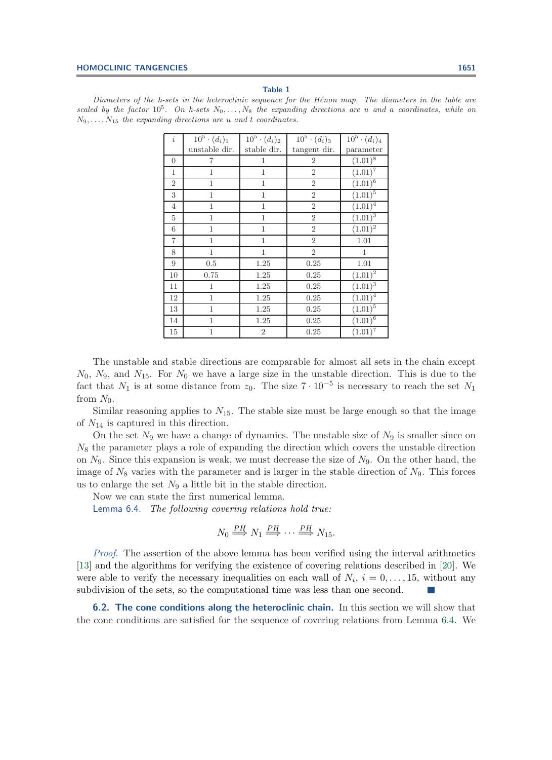## **Table 1**

<span id="page-19-0"></span>Diameters of the h-sets in the heteroclinic sequence for the H $\epsilon$ non map. The diameters in the table are scaled by the factor  $10^5$ . On h-sets  $N_0, \ldots, N_8$  the expanding directions are u and a coordinates, while on  $N_9, \ldots, N_{15}$  the expanding directions are u and t coordinates.

| i                | $\bar{1}0^5 \cdot (d_i)_1$ | $\bar{1}0^5 \cdot (d_i)_2$ | $\bar{1}0^5 \cdot (d_i)_3$ | $\bar{1}0^5 \cdot (d_i)_4$ |
|------------------|----------------------------|----------------------------|----------------------------|----------------------------|
|                  | unstable dir.              | stable dir.                | tangent dir.               | parameter                  |
| $\boldsymbol{0}$ | 7                          | 1                          | $\overline{2}$             | $(1.01)^8$                 |
| 1                | 1                          | 1                          | $\overline{2}$             | $(1.01)^7$                 |
| $\overline{2}$   | $\mathbf{1}$               | $\mathbf{1}$               | $\overline{2}$             | $(1.01)^{\overline{6}}$    |
| 3                | $\mathbf{1}$               | $\mathbf{1}$               | $\overline{2}$             | $(1.01)^{\overline{5}}$    |
| $\overline{4}$   | $\mathbf{1}$               | $\mathbf{1}$               | $\overline{2}$             | $(1.01)^4$                 |
| $\overline{5}$   | 1                          | $\mathbf{1}$               | $\overline{2}$             | $(1.01)^3$                 |
| 6                | 1                          | 1                          | $\overline{2}$             | $(1.01)^{2}$               |
| $\overline{7}$   | $\overline{1}$             | 1                          | $\overline{2}$             | 1.01                       |
| 8                | $\mathbf 1$                | 1                          | $\overline{2}$             | 1                          |
| 9                | $0.5\,$                    | 1.25                       | 0.25                       | 1.01                       |
| 10               | 0.75                       | 1.25                       | 0.25                       | $(1.01)^2$                 |
| 11               | 1                          | 1.25                       | 0.25                       | $(1.01)^{\overline{3}}$    |
| 12               | $\mathbf{1}$               | 1.25                       | 0.25                       | $(1.01)^{4}$               |
| 13               | $\mathbf{1}$               | 1.25                       | 0.25                       | $(1.01)^5$                 |
| 14               | 1                          | 1.25                       | 0.25                       | $(1.01)^6$                 |
| 15               | $\overline{1}$             | $\overline{2}$             | 0.25                       | $(1.01)^{7}$               |

The unstable and stable directions are comparable for almost all sets in the chain except  $N_0$ ,  $N_9$ , and  $N_{15}$ . For  $N_0$  we have a large size in the unstable direction. This is due to the fact that  $N_1$  is at some distance from  $z_0$ . The size  $7 \cdot 10^{-5}$  is necessary to reach the set  $N_1$ from  $N_0$ .

Similar reasoning applies to  $N_{15}$ . The stable size must be large enough so that the image of  $N_{14}$  is captured in this direction.

On the set  $N_9$  we have a change of dynamics. The unstable size of  $N_9$  is smaller since on  $N_8$  the parameter plays a role of expanding the direction which covers the unstable direction on  $N_9$ . Since this expansion is weak, we must decrease the size of  $N_9$ . On the other hand, the image of  $N_8$  varies with the parameter and is larger in the stable direction of  $N_9$ . This forces us to enlarge the set  $N_9$  a little bit in the stable direction.

Now we can state the first numerical lemma.

Lemma 6.4. *The following covering relations hold true:*

<span id="page-19-1"></span>
$$
N_0 \stackrel{PH}{\Longrightarrow} N_1 \stackrel{PH}{\Longrightarrow} \cdots \stackrel{PH}{\Longrightarrow} N_{15}.
$$

*Proof*. The assertion of the above lemma has been verified using the interval arithmetics [\[13\]](#page-31-15) and the algorithms for verifying the existence of covering relations described in [\[20\]](#page-31-16). We were able to verify the necessary inequalities on each wall of  $N_i$ ,  $i = 0, \ldots, 15$ , without any subdivision of the sets, so the computational time was less than one second.

**6.2. The cone conditions along the heteroclinic chain.** In this section we will show that the cone conditions are satisfied for the sequence of covering relations from Lemma [6.4.](#page-19-1) We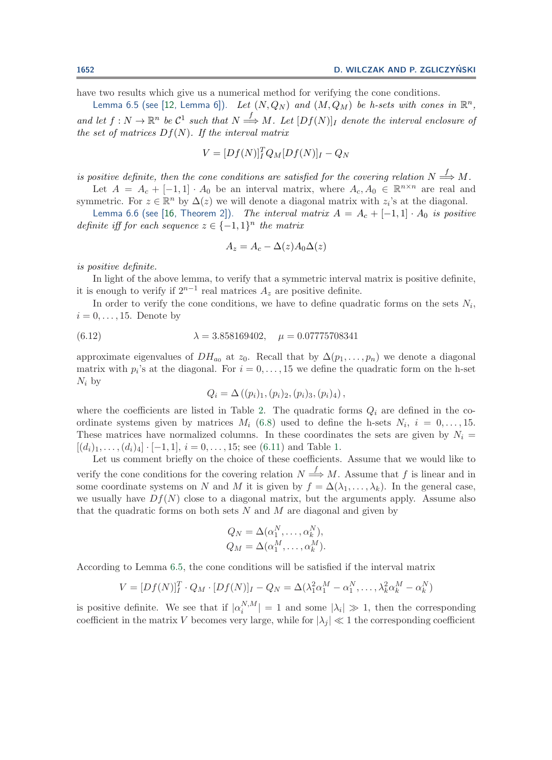have two results which give us a numerical method for verifying the cone conditions.

Lemma 6.5 (see [\[12,](#page-31-8) Lemma 6]). *Let*  $(N, Q_N)$  *and*  $(M, Q_M)$  *be h-sets with cones in*  $\mathbb{R}^n$ , and let  $f: N \to \mathbb{R}^n$  be  $\mathcal{C}^1$  such that  $N \xrightarrow{f} M$ . Let  $[Df(N)]_I$  denote the interval enclosure of *the set of matrices* Df(N)*. If the interval matrix*

<span id="page-20-0"></span>
$$
V = [Df(N)]_I^T Q_M [Df(N)]_I - Q_N
$$

*is positive definite, then the cone conditions are satisfied for the covering relation*  $N \stackrel{f}{\Longrightarrow} M$ .

Let  $A = A_c + [-1, 1] \cdot A_0$  be an interval matrix, where  $A_c, A_0 \in \mathbb{R}^{n \times n}$  are real and symmetric. For  $z \in \mathbb{R}^n$  by  $\Delta(z)$  we will denote a diagonal matrix with  $z_i$ 's at the diagonal.

Lemma 6.6 (see [\[16,](#page-31-17) Theorem 2]). *The interval matrix*  $A = A_c + [-1, 1] \cdot A_0$  *is positive definite iff for each sequence*  $z \in \{-1,1\}^n$  *the matrix* 

<span id="page-20-2"></span><span id="page-20-1"></span>
$$
A_z = A_c - \Delta(z)A_0\Delta(z)
$$

*is positive definite.*

In light of the above lemma, to verify that a symmetric interval matrix is positive definite, it is enough to verify if  $2^{n-1}$  real matrices  $A_z$  are positive definite.

In order to verify the cone conditions, we have to define quadratic forms on the sets  $N_i$ ,  $i = 0, \ldots, 15$ . Denote by

(6.12) 
$$
\lambda = 3.858169402, \quad \mu = 0.07775708341
$$

approximate eigenvalues of  $DH_{a_0}$  at  $z_0$ . Recall that by  $\Delta(p_1,\ldots,p_n)$  we denote a diagonal matrix with  $p_i$ 's at the diagonal. For  $i = 0, \ldots, 15$  we define the quadratic form on the h-set  $N_i$  by

$$
Q_i = \Delta((p_i)_1, (p_i)_2, (p_i)_3, (p_i)_4),
$$

where the coefficients are listed in Table [2.](#page-21-0) The quadratic forms  $Q_i$  are defined in the coordinate systems given by matrices  $M_i$  [\(6.8\)](#page-18-1) used to define the h-sets  $N_i$ ,  $i = 0, \ldots, 15$ . These matrices have normalized columns. In these coordinates the sets are given by  $N_i =$  $[(d_i)_1,\ldots,(d_i)_4]\cdot[-1,1], i=0,\ldots,15;$  see [\(6.11\)](#page-18-2) and Table [1.](#page-19-0)

Let us comment briefly on the choice of these coefficients. Assume that we would like to verify the cone conditions for the covering relation  $N \stackrel{J}{\Longrightarrow} M$ . Assume that f is linear and in some coordinate systems on N and M it is given by  $f = \Delta(\lambda_1, \ldots, \lambda_k)$ . In the general case, we usually have  $Df(N)$  close to a diagonal matrix, but the arguments apply. Assume also that the quadratic forms on both sets  $N$  and  $M$  are diagonal and given by

$$
Q_N = \Delta(\alpha_1^N, \dots, \alpha_k^N),
$$
  

$$
Q_M = \Delta(\alpha_1^M, \dots, \alpha_k^M).
$$

According to Lemma [6.5,](#page-20-0) the cone conditions will be satisfied if the interval matrix

$$
V = [Df(N)]_I^T \cdot Q_M \cdot [Df(N)]_I - Q_N = \Delta(\lambda_1^2 \alpha_1^M - \alpha_1^N, \dots, \lambda_k^2 \alpha_k^M - \alpha_k^N)
$$

is positive definite. We see that if  $|\alpha_i^{N,M}| = 1$  and some  $|\lambda_i| \gg 1$ , then the corresponding<br>coefficient in the matrix *V* becomes very large, while for  $|\lambda_i| \gg 1$  the corresponding coefficient coefficient in the matrix V becomes very large, while for  $|\lambda_i| \ll 1$  the corresponding coefficient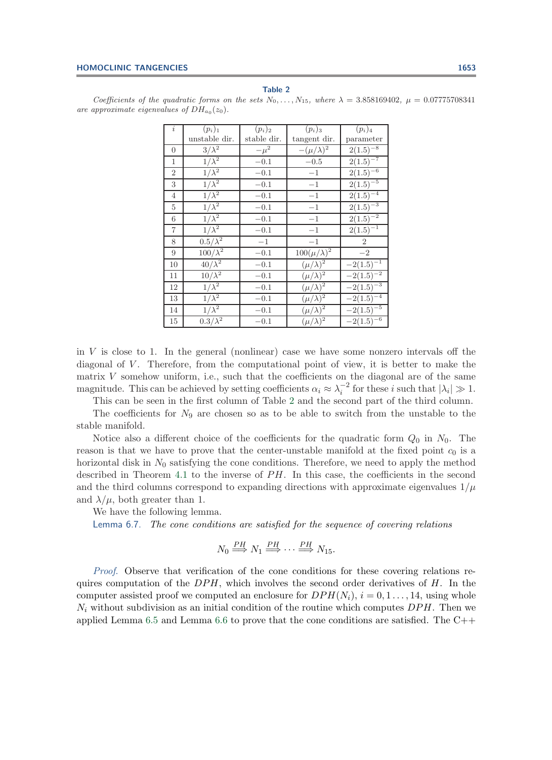| $\dot{i}$      | $(p_i)_1$       | $(p_i)_2$   | $(p_i)_3$            | $(p_i)_4$      |
|----------------|-----------------|-------------|----------------------|----------------|
|                | unstable dir.   | stable dir. | tangent dir.         | parameter      |
| $\theta$       | $3/\lambda^2$   | $-\mu^2$    | $-(\mu/\lambda)^2$   | $2(1.5)^{-8}$  |
| 1              | $1/\lambda^2$   | $-0.1$      | $-0.5$               | $2(1.5)^{-7}$  |
| $\overline{2}$ | $1/\lambda^2$   | $-0.1$      | $-1$                 | $2(1.5)^{-6}$  |
| 3              | $1/\lambda^2$   | $-0.1$      | $-1$                 | $2(1.5)^{-5}$  |
| $\overline{4}$ | $1/\lambda^2$   | $-0.1$      | $^{-1}$              | $2(1.5)^{-4}$  |
| 5              | $1/\lambda^2$   | $-0.1$      | $-1$                 | $2(1.5)^{-3}$  |
| 6              | $1/\lambda^2$   | $-0.1$      | $-1$                 | $2(1.5)^{-2}$  |
| $\overline{7}$ | $1/\lambda^2$   | $-0.1$      | $-1$                 | $2(1.5)^{-1}$  |
| 8              | $0.5/\lambda^2$ | $-1$        | $-1$                 | $\overline{2}$ |
| 9              | $100/\lambda^2$ | $-0.1$      | $100(\mu/\lambda)^2$ | $-2$           |
| 10             | $40/\lambda^2$  | $-0.1$      | $(\mu/\lambda)^2$    | $-2(1.5)^{-1}$ |
| 11             | $10/\lambda^2$  | $-0.1$      | $(\mu/\lambda)^2$    | $-2(1.5)^{-2}$ |
| 12             | $1/\lambda^2$   | $-0.1$      | $(\mu/\lambda)^2$    | $-2(1.5)^{-3}$ |
| 13             | $1/\lambda^2$   | $-0.1$      | $(\mu/\lambda)^2$    | $-2(1.5)^{-4}$ |
| 14             | $1/\lambda^2$   | $-0.1$      | $(\mu/\lambda)^2$    | $-2(1.5)^{-5}$ |
| 15             | $0.3/\lambda^2$ | $-0.1$      | $(\mu/\lambda)^2$    | $-2(1.5)^{-6}$ |

#### **Table 2**

<span id="page-21-0"></span>Coefficients of the quadratic forms on the sets  $N_0, \ldots, N_{15}$ , where  $\lambda = 3.858169402$ ,  $\mu = 0.07775708341$ are approximate eigenvalues of  $DH_{a_0}(z_0)$ .

in  $V$  is close to 1. In the general (nonlinear) case we have some nonzero intervals off the diagonal of  $V$ . Therefore, from the computational point of view, it is better to make the matrix V somehow uniform, i.e., such that the coefficients on the diagonal are of the same magnitude. This can be achieved by setting coefficients  $\alpha_i \approx \lambda_i^{-2}$  for these i such that  $|\lambda_i| \gg 1$ .<br>This can be seen in the first column of Table 2 and the second part of the third column

This can be seen in the first column of Table [2](#page-21-0) and the second part of the third column. The coefficients for  $N_9$  are chosen so as to be able to switch from the unstable to the stable manifold.

Notice also a different choice of the coefficients for the quadratic form  $Q_0$  in  $N_0$ . The reason is that we have to prove that the center-unstable manifold at the fixed point  $c_0$  is a horizontal disk in  $N_0$  satisfying the cone conditions. Therefore, we need to apply the method described in Theorem [4.1](#page-8-1) to the inverse of  $PH$ . In this case, the coefficients in the second and the third columns correspond to expanding directions with approximate eigenvalues  $1/\mu$ and  $\lambda/\mu$ , both greater than 1.

We have the following lemma.

Lemma 6.7. *The cone conditions are satisfied for the sequence of covering relations*

<span id="page-21-1"></span>
$$
N_0 \stackrel{PH}{\Longrightarrow} N_1 \stackrel{PH}{\Longrightarrow} \cdots \stackrel{PH}{\Longrightarrow} N_{15}.
$$

*Proof*. Observe that verification of the cone conditions for these covering relations requires computation of the  $DPH$ , which involves the second order derivatives of  $H$ . In the computer assisted proof we computed an enclosure for  $DPH(N_i)$ ,  $i = 0, 1, \ldots, 14$ , using whole  $N_i$  without subdivision as an initial condition of the routine which computes  $DPH$ . Then we applied Lemma [6.5](#page-20-0) and Lemma [6.6](#page-20-1) to prove that the cone conditions are satisfied. The  $C++$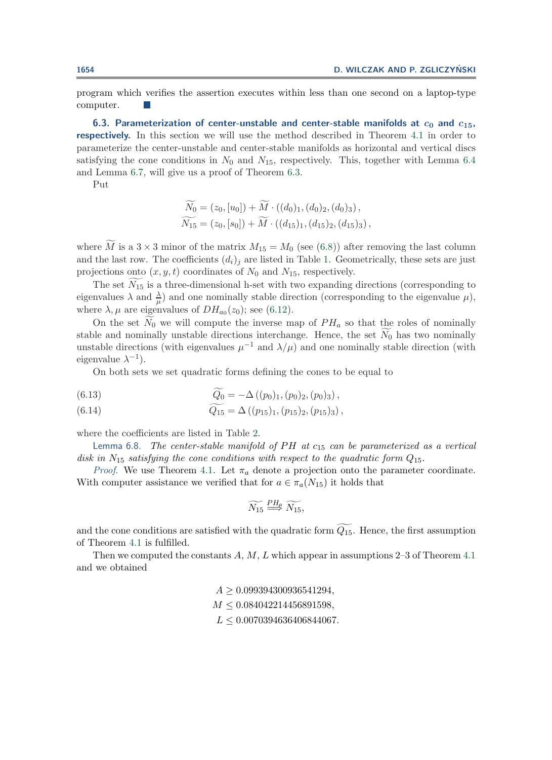program which verifies the assertion executes within less than one second on a laptop-type computer.

6.3. Parameterization of center-unstable and center-stable manifolds at  $c_0$  and  $c_{15}$ , **respectively.** In this section we will use the method described in Theorem [4.1](#page-8-1) in order to parameterize the center-unstable and center-stable manifolds as horizontal and vertical discs satisfying the cone conditions in  $N_0$  and  $N_{15}$ , respectively. This, together with Lemma [6.4](#page-19-1) and Lemma [6.7,](#page-21-1) will give us a proof of Theorem [6.3.](#page-15-3)

Put

$$
\widetilde{N_0} = (z_0, [u_0]) + \widetilde{M} \cdot ((d_0)_1, (d_0)_2, (d_0)_3), \n\widetilde{N_{15}} = (z_0, [s_0]) + \widetilde{M} \cdot ((d_{15})_1, (d_{15})_2, (d_{15})_3),
$$

where M is a  $3 \times 3$  minor of the matrix  $M_{15} = M_0$  (see [\(6.8\)](#page-18-1)) after removing the last column and the last row. The coefficients  $(d_i)_i$  are listed in Table [1.](#page-19-0) Geometrically, these sets are just projections onto  $(x, y, t)$  coordinates of  $N_0$  and  $N_{15}$ , respectively.

The set  $N_{15}$  is a three-dimensional h-set with two expanding directions (corresponding to  $N_{15}$ ) and  $N_{15}$  is a proposition (corresponding to the singuralism) eigenvalues  $\lambda$  and  $\frac{\lambda}{\mu}$  and one nominally stable direction (corresponding to the eigenvalue  $\mu$ ), where  $\lambda$   $\mu$  are eigenvalues of  $DH_{\nu}$  (z<sub>0</sub>); see (6.12) where  $\lambda, \mu$  are eigenvalues of  $DH_{a_0}(z_0)$ ; see [\(6.12\)](#page-20-2).

On the set  $N_0$  we will compute the inverse map of  $PH_a$  so that the roles of nominally stable and nominally unstable directions interchange. Hence, the set  $N_0$  has two nominally unstable directions (with eigenvalues  $\mu^{-1}$  and  $\lambda/\mu$ ) and one nominally stable direction (with eigenvalue  $\lambda^{-1}$ ).

On both sets we set quadratic forms defining the cones to be equal to

(6.13) 
$$
\overline{Q_0} = -\Delta((p_0)_1, (p_0)_2, (p_0)_3),
$$

(6.14) 
$$
Q_{15} = \Delta((p_{15})_1, (p_{15})_2, (p_{15})_3),
$$

<span id="page-22-1"></span>where the coefficients are listed in Table [2.](#page-21-0)

Lemma 6.8. *The center-stable manifold of PH at*  $c_{15}$  *can be parameterized as a vertical disk in*  $N_{15}$  *satisfying the cone conditions with respect to the quadratic form*  $Q_{15}$ *.* 

*Proof.* We use Theorem [4.1.](#page-8-1) Let  $\pi_a$  denote a projection onto the parameter coordinate. With computer assistance we verified that for  $a \in \pi_a(N_{15})$  it holds that

<span id="page-22-0"></span>
$$
\widetilde{N_{15}} \stackrel{PH_a}{\Longrightarrow} \widetilde{N_{15}},
$$

and the cone conditions are satisfied with the quadratic form  $Q_{15}$ . Hence, the first assumption of Theorem [4.1](#page-8-1) is fulfilled.

Then we computed the constants  $A, M, L$  which appear in assumptions 2–3 of Theorem [4.1](#page-8-1) and we obtained

$$
A \ge 0.099394300936541294,
$$
  
\n
$$
M \le 0.084042214456891598,
$$
  
\n
$$
L \le 0.0070394636406844067.
$$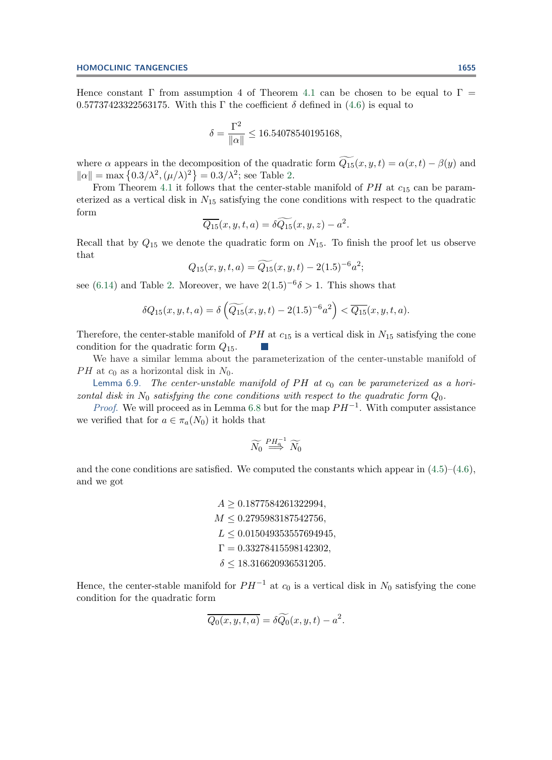Hence constant  $\Gamma$  from assumption 4 of Theorem [4.1](#page-8-1) can be chosen to be equal to  $\Gamma$  = 0.57737423322563175. With this Γ the coefficient  $\delta$  defined in [\(4.6\)](#page-9-2) is equal to

$$
\delta = \frac{\Gamma^2}{\|\alpha\|} \le 16.54078540195168,
$$

where  $\alpha$  appears in the decomposition of the quadratic form  $Q_{15}(x, y, t) = \alpha(x, t) - \beta(y)$  and  $\|\alpha\| = \max\left\{0.3/\lambda^2, (\mu/\lambda)^2\right\} = 0.3/\lambda^2$ ; see Table [2.](#page-21-0)

From Theorem [4.1](#page-8-1) it follows that the center-stable manifold of  $PH$  at  $c_{15}$  can be parameterized as a vertical disk in  $N_{15}$  satisfying the cone conditions with respect to the quadratic form

$$
\overline{Q_{15}}(x, y, t, a) = \delta \widetilde{Q_{15}}(x, y, z) - a^2.
$$

Recall that by  $Q_{15}$  we denote the quadratic form on  $N_{15}$ . To finish the proof let us observe that

$$
Q_{15}(x, y, t, a) = \widetilde{Q_{15}}(x, y, t) - 2(1.5)^{-6}a^2;
$$

see [\(6.14\)](#page-22-0) and Table [2.](#page-21-0) Moreover, we have  $2(1.5)^{-6}\delta > 1$ . This shows that

$$
\delta Q_{15}(x, y, t, a) = \delta \left( \widetilde{Q_{15}}(x, y, t) - 2(1.5)^{-6} a^2 \right) < \overline{Q_{15}}(x, y, t, a).
$$

Therefore, the center-stable manifold of  $PH$  at  $c_{15}$  is a vertical disk in  $N_{15}$  satisfying the cone condition for the quadratic form  $Q_{15}$ .

We have a similar lemma about the parameterization of the center-unstable manifold of PH at  $c_0$  as a horizontal disk in  $N_0$ .

Lemma 6.9. *The center-unstable manifold of PH at*  $c_0$  *can be parameterized as a horizontal disk in*  $N_0$  *satisfying the cone conditions with respect to the quadratic form*  $Q_0$ .

*Proof.* We will proceed as in Lemma [6.8](#page-22-1) but for the map  $PH^{-1}$ . With computer assistance we verified that for  $a \in \pi_a(N_0)$  it holds that

<span id="page-23-0"></span>
$$
\widetilde{N_0} \overset{PH_a^{-1}}{\Longrightarrow} \widetilde{N_0}
$$

and the cone conditions are satisfied. We computed the constants which appear in  $(4.5)-(4.6)$  $(4.5)-(4.6)$  $(4.5)-(4.6)$ , and we got

> $A \geq 0.1877584261322994,$  $M < 0.2795983187542756$ ,  $L \leq 0.015049353557694945$ ,  $\Gamma=0.33278415598142302,$  $\delta \leq 18.316620936531205.$

Hence, the center-stable manifold for  $PH^{-1}$  at  $c_0$  is a vertical disk in  $N_0$  satisfying the cone condition for the quadratic form

$$
\overline{Q_0(x, y, t, a)} = \delta \widetilde{Q_0}(x, y, t) - a^2.
$$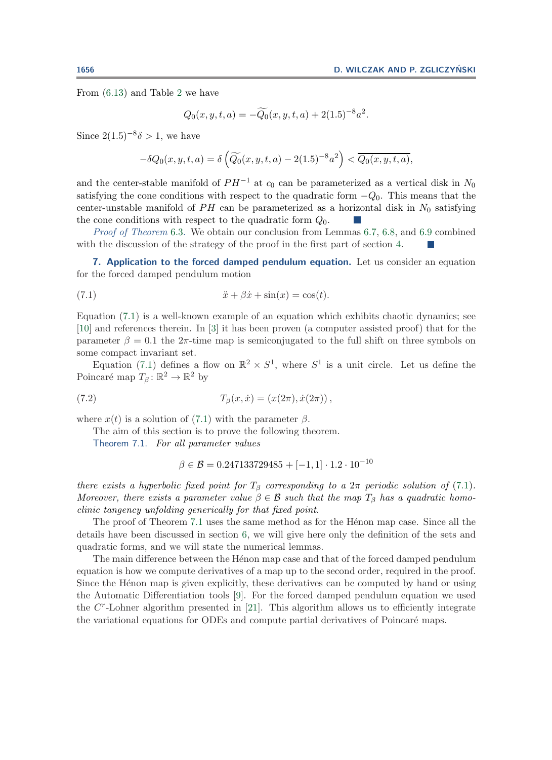From [\(6.13\)](#page-22-0) and Table [2](#page-21-0) we have

$$
Q_0(x, y, t, a) = -\widetilde{Q_0}(x, y, t, a) + 2(1.5)^{-8}a^2.
$$

Since  $2(1.5)^{-8}\delta > 1$ , we have

<span id="page-24-2"></span>
$$
-\delta Q_0(x,y,t,a) = \delta \left( \widetilde{Q_0}(x,y,t,a) - 2(1.5)^{-8} a^2 \right) < \overline{Q_0(x,y,t,a)},
$$

and the center-stable manifold of  $PH^{-1}$  at  $c_0$  can be parameterized as a vertical disk in  $N_0$ satisfying the cone conditions with respect to the quadratic form  $-Q_0$ . This means that the center-unstable manifold of PH can be parameterized as a horizontal disk in  $N_0$  satisfying the cone conditions with respect to the quadratic form  $Q_0$ .

*Proof of Theorem* [6.3.](#page-15-3) We obtain our conclusion from Lemmas [6.7,](#page-21-1) [6.8,](#page-22-1) and [6.9](#page-23-0) combined with the discussion of the strategy of the proof in the first part of section [4.](#page-7-0)

<span id="page-24-1"></span>**7. Application to the forced damped pendulum equation.** Let us consider an equation for the forced damped pendulum motion

(7.1) 
$$
\ddot{x} + \beta \dot{x} + \sin(x) = \cos(t).
$$

Equation [\(7.1\)](#page-24-2) is a well-known example of an equation which exhibits chaotic dynamics; see [\[10\]](#page-31-18) and references therein. In [\[3\]](#page-31-19) it has been proven (a computer assisted proof) that for the parameter  $\beta = 0.1$  the  $2\pi$ -time map is semiconjugated to the full shift on three symbols on some compact invariant set.

Equation [\(7.1\)](#page-24-2) defines a flow on  $\mathbb{R}^2 \times S^1$ , where  $S^1$  is a unit circle. Let us define the Poincaré map  $T_\beta: \mathbb{R}^2 \to \mathbb{R}^2$  by

(7.2) 
$$
T_{\beta}(x, \dot{x}) = (x(2\pi), \dot{x}(2\pi)),
$$

where  $x(t)$  is a solution of [\(7.1\)](#page-24-2) with the parameter  $\beta$ .

The aim of this section is to prove the following theorem.

Theorem 7.1. *For all parameter values*

<span id="page-24-0"></span>
$$
\beta \in \mathcal{B} = 0.247133729485 + [-1, 1] \cdot 1.2 \cdot 10^{-10}
$$

*there exists a hyperbolic fixed point for*  $T_\beta$  *corresponding to a*  $2\pi$  *periodic solution of* [\(7.1\)](#page-24-2)*. Moreover, there exists a parameter value*  $\beta \in \mathcal{B}$  *such that the map*  $T_{\beta}$  *has a quadratic homoclinic tangency unfolding generically for that fixed point.*

The proof of Theorem [7.1](#page-24-0) uses the same method as for the Hénon map case. Since all the details have been discussed in section [6,](#page-15-0) we will give here only the definition of the sets and quadratic forms, and we will state the numerical lemmas.

The main difference between the Henon map case and that of the forced damped pendulum equation is how we compute derivatives of a map up to the second order, required in the proof. Since the Henon map is given explicitly, these derivatives can be computed by hand or using the Automatic Differentiation tools [\[9\]](#page-31-20). For the forced damped pendulum equation we used the  $C<sup>r</sup>$ -Lohner algorithm presented in [\[21\]](#page-31-10). This algorithm allows us to efficiently integrate the variational equations for ODEs and compute partial derivatives of Poincaré maps.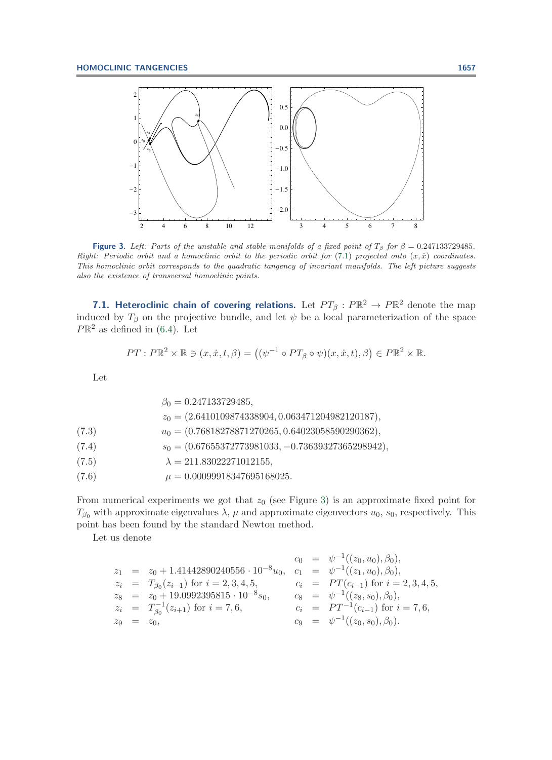

<span id="page-25-0"></span>**Figure 3.** Left: Parts of the unstable and stable manifolds of a fixed point of  $T_\beta$  for  $\beta = 0.247133729485$ . Right: Periodic orbit and a homoclinic orbit to the periodic orbit for  $(7.1)$  projected onto  $(x, \dot{x})$  coordinates. This homoclinic orbit corresponds to the quadratic tangency of invariant manifolds. The left picture suggests also the existence of transversal homoclinic points.

**7.1. Heteroclinic chain of covering relations.** Let  $PT_{\beta}: P\mathbb{R}^2 \to P\mathbb{R}^2$  denote the map induced by  $T_\beta$  on the projective bundle, and let  $\psi$  be a local parameterization of the space  $P\mathbb{R}^2$  as defined in [\(6.4\)](#page-16-1). Let

<span id="page-25-1"></span>
$$
PT: P\mathbb{R}^2 \times \mathbb{R} \ni (x, \dot{x}, t, \beta) = ((\psi^{-1} \circ PT_{\beta} \circ \psi)(x, \dot{x}, t), \beta) \in P\mathbb{R}^2 \times \mathbb{R}.
$$

Let

|                                    | $\beta_0 = 0.247133729485,$                          |
|------------------------------------|------------------------------------------------------|
|                                    | $z_0 = (2.6410109874338904, 0.063471204982120187),$  |
| (7.3)                              | $u_0 = (0.76818278871270265, 0.64023058590290362),$  |
| (7.4)                              | $s_0 = (0.67655372773981033, -0.73639327365298942),$ |
| (7.5)                              | $\lambda = 211.83022271012155$ ,                     |
| $\sim$ $\sim$ $\sim$ $\sim$ $\sim$ |                                                      |

(7.6)  $\mu = 0.00099918347695168025.$ 

From numerical experiments we got that  $z_0$  (see Figure [3\)](#page-25-0) is an approximate fixed point for  $T_{\beta_0}$  with approximate eigenvalues  $\lambda$ ,  $\mu$  and approximate eigenvectors  $u_0$ ,  $s_0$ , respectively. This point has been found by the standard Newton method.

Let us denote

$$
\begin{array}{rcll} z_1&=&z_0+1.41442890240556\cdot 10^{-8}u_0,\quad c_1&=&\psi^{-1}((z_0,u_0),\beta_0),\\ z_i&=&T_{\beta_0}(z_{i-1})\; \text{for}\; i=2,3,4,5,\quad &c_i&=&PT(c_{i-1})\; \text{for}\; i=2,3,4,5,\\ z_8&=&z_0+19.0992395815\cdot 10^{-8}s_0,\quad &c_8&=&\psi^{-1}((z_8,s_0),\beta_0),\\ z_i&=&T_{\beta_0}^{-1}(z_{i+1})\; \text{for}\; i=7,6,\quad &c_i&=&PT^{-1}(c_{i-1})\; \text{for}\; i=7,6,\\ z_9&=&z_0,\quad &c_9&=&\psi^{-1}((z_0,s_0),\beta_0). \end{array}
$$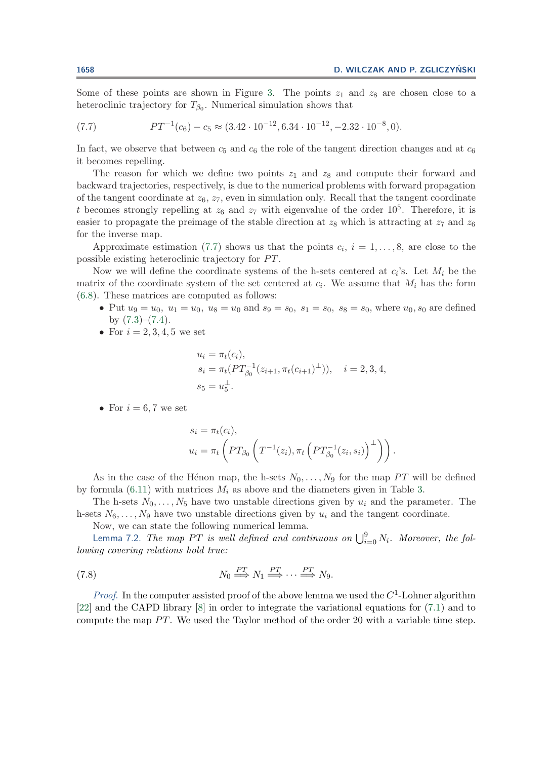<span id="page-26-0"></span>Some of these points are shown in Figure [3.](#page-25-0) The points  $z_1$  and  $z_8$  are chosen close to a heteroclinic trajectory for  $T_{\beta_0}$ . Numerical simulation shows that

(7.7) 
$$
PT^{-1}(c_6) - c_5 \approx (3.42 \cdot 10^{-12}, 6.34 \cdot 10^{-12}, -2.32 \cdot 10^{-8}, 0).
$$

In fact, we observe that between  $c_5$  and  $c_6$  the role of the tangent direction changes and at  $c_6$ it becomes repelling.

The reason for which we define two points  $z_1$  and  $z_8$  and compute their forward and backward trajectories, respectively, is due to the numerical problems with forward propagation of the tangent coordinate at  $z_6$ ,  $z_7$ , even in simulation only. Recall that the tangent coordinate t becomes strongly repelling at  $z_6$  and  $z_7$  with eigenvalue of the order  $10^5$ . Therefore, it is easier to propagate the preimage of the stable direction at  $z_8$  which is attracting at  $z_7$  and  $z_6$ for the inverse map.

Approximate estimation [\(7.7\)](#page-26-0) shows us that the points  $c_i, i = 1, \ldots, 8$ , are close to the possible existing heteroclinic trajectory for  $PT$ .

Now we will define the coordinate systems of the h-sets centered at  $c_i$ 's. Let  $M_i$  be the matrix of the coordinate system of the set centered at  $c_i$ . We assume that  $M_i$  has the form [\(6.8\)](#page-18-1). These matrices are computed as follows:

- Put  $u_9 = u_0$ ,  $u_1 = u_0$ ,  $u_8 = u_0$  and  $s_9 = s_0$ ,  $s_1 = s_0$ ,  $s_8 = s_0$ , where  $u_0$ ,  $s_0$  are defined by  $(7.3)$ – $(7.4)$ .
- For  $i = 2, 3, 4, 5$  we set

$$
u_i = \pi_t(c_i),
$$
  
\n
$$
s_i = \pi_t(PT_{\beta_0}^{-1}(z_{i+1}, \pi_t(c_{i+1})^{\perp})), \quad i = 2, 3, 4,
$$
  
\n
$$
s_5 = u_5^{\perp}.
$$

• For  $i = 6, 7$  we set

<span id="page-26-1"></span>
$$
s_i = \pi_t(c_i),
$$
  
\n
$$
u_i = \pi_t \left( PT_{\beta_0} \left( T^{-1}(z_i), \pi_t \left( PT_{\beta_0}^{-1}(z_i, s_i) \right)^{\perp} \right) \right).
$$

As in the case of the H $\epsilon$ non map, the h-sets  $N_0, \ldots, N_9$  for the map PT will be defined by formula [\(6.11\)](#page-18-2) with matrices  $M_i$  as above and the diameters given in Table [3.](#page-27-0)

The h-sets  $N_0, \ldots, N_5$  have two unstable directions given by  $u_i$  and the parameter. The h-sets  $N_6, \ldots, N_9$  have two unstable directions given by  $u_i$  and the tangent coordinate.

Now, we can state the following numerical lemma.

Lemma 7.2. *The map PT is well defined and continuous on*  $\bigcup_{i=0}^{9} N_i$ . *Moreover, the fol-*<br>ing covering relations hold true: *lowing covering relations hold true:*

(7.8) 
$$
N_0 \stackrel{PT}{\Longrightarrow} N_1 \stackrel{PT}{\Longrightarrow} \cdots \stackrel{PT}{\Longrightarrow} N_9.
$$

*Proof.* In the computer assisted proof of the above lemma we used the  $C<sup>1</sup>$ -Lohner algorithm [\[22\]](#page-31-9) and the CAPD library [\[8\]](#page-31-11) in order to integrate the variational equations for [\(7.1\)](#page-24-2) and to compute the map  $PT$ . We used the Taylor method of the order 20 with a variable time step.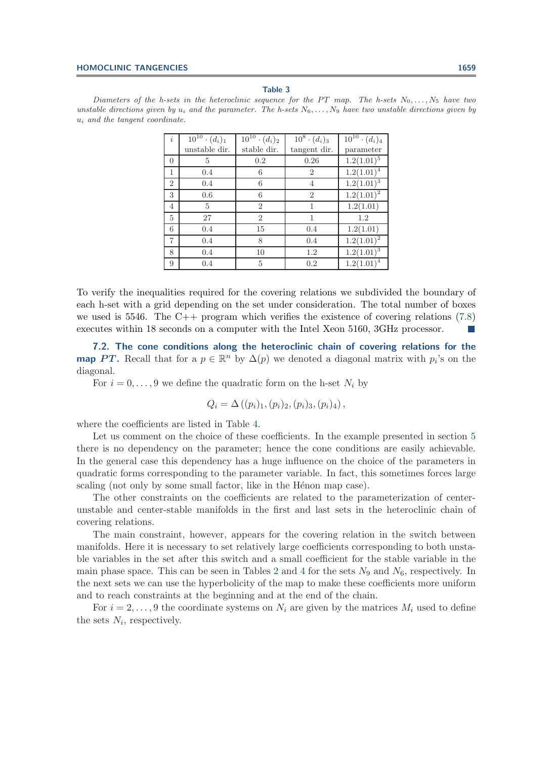#### **Table 3**

<span id="page-27-0"></span>Diameters of the h-sets in the heteroclinic sequence for the PT map. The h-sets  $N_0, \ldots, N_5$  have two unstable directions given by  $u_i$  and the parameter. The h-sets  $N_6, \ldots, N_9$  have two unstable directions given by  $u_i$  and the tangent coordinate.

| $\dot{i}$      | $\overline{10^{10}} \cdot (d_i)_1$ | $\overline{10^{10}} \cdot (d_i)_2$ | $\overline{10^8} \cdot (d_i)_3$ | $\overline{10^{10} \cdot (d_i)_4}$ |
|----------------|------------------------------------|------------------------------------|---------------------------------|------------------------------------|
|                | unstable dir.                      | stable dir.                        | tangent dir.                    | parameter                          |
| $\Omega$       | 5                                  | 0.2                                | 0.26                            | $1.2(1.01)^5$                      |
| 1              | 0.4                                | 6                                  | 2                               | $\overline{1.2(1.01)^4}$           |
| $\overline{2}$ | 0.4                                | 6                                  | 4                               | $1.2(1.01)^3$                      |
| 3              | 0.6                                | 6                                  | $\overline{2}$                  | $1.2(1.01)^2$                      |
| 4              | 5                                  | $\overline{2}$                     | 1                               | 1.2(1.01)                          |
| $\overline{5}$ | 27                                 | $\overline{2}$                     | 1                               | 1.2                                |
| 6              | 0.4                                | 15                                 | 0.4                             | 1.2(1.01)                          |
| 7              | 0.4                                | 8                                  | 0.4                             | $1.2(1.01)^2$                      |
| 8              | 0.4                                | 10                                 | 1.2                             | $1.2(1.01)^3$                      |
| 9              | 0.4                                | 5                                  | 0.2                             | $1.2(1.01)^4$                      |

To verify the inequalities required for the covering relations we subdivided the boundary of each h-set with a grid depending on the set under consideration. The total number of boxes we used is 5546. The  $C_{++}$  program which verifies the existence of covering relations [\(7.8\)](#page-26-1) executes within 18 seconds on a computer with the Intel Xeon 5160, 3GHz processor.

**7.2. The cone conditions along the heteroclinic chain of covering relations for the map** *PT*. Recall that for a  $p \in \mathbb{R}^n$  by  $\Delta(p)$  we denoted a diagonal matrix with  $p_i$ 's on the diagonal.

For  $i = 0, \ldots, 9$  we define the quadratic form on the h-set  $N_i$  by

$$
Q_i = \Delta((p_i)_1, (p_i)_2, (p_i)_3, (p_i)_4),
$$

where the coefficients are listed in Table [4.](#page-28-0)

Let us comment on the choice of these coefficients. In the example presented in section [5](#page-10-0) there is no dependency on the parameter; hence the cone conditions are easily achievable. In the general case this dependency has a huge influence on the choice of the parameters in quadratic forms corresponding to the parameter variable. In fact, this sometimes forces large scaling (not only by some small factor, like in the Henon map case).

The other constraints on the coefficients are related to the parameterization of centerunstable and center-stable manifolds in the first and last sets in the heteroclinic chain of covering relations.

The main constraint, however, appears for the covering relation in the switch between manifolds. Here it is necessary to set relatively large coefficients corresponding to both unstable variables in the set after this switch and a small coefficient for the stable variable in the main phase space. This can be seen in Tables [2](#page-21-0) and [4](#page-28-0) for the sets  $N_9$  and  $N_6$ , respectively. In the next sets we can use the hyperbolicity of the map to make these coefficients more uniform and to reach constraints at the beginning and at the end of the chain.

For  $i = 2, \ldots, 9$  the coordinate systems on  $N_i$  are given by the matrices  $M_i$  used to define the sets  $N_i$ , respectively.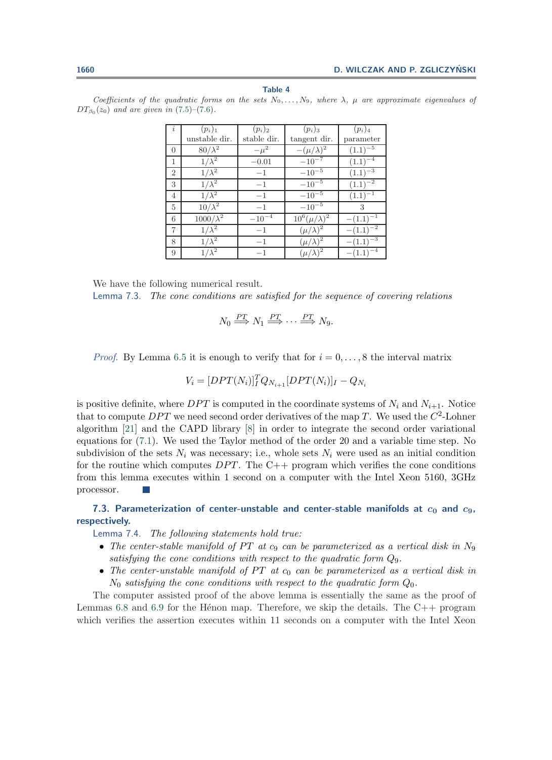| $\boldsymbol{i}$ | $(p_i)_1$        | $(p_i)_2$   | $(p_i)_3$             | $(p_i)_4$     |
|------------------|------------------|-------------|-----------------------|---------------|
|                  | unstable dir.    | stable dir. | tangent dir.          | parameter     |
| $\Omega$         | $80/\lambda^2$   | $-\mu^2$    | $-(\mu/\lambda)^2$    | $(1.1)^{-5}$  |
| $\mathbf{1}$     | $1/\lambda^2$    | $-0.01$     | $-10^{-7}$            | $(1.1)^{-4}$  |
| $\overline{2}$   | $1/\lambda^2$    | $-1$        | $-10^{-5}$            | $(1.1)^{-3}$  |
| 3                | $1/\lambda^2$    | $-1$        | $-10^{-5}$            | $(1.1)^{-2}$  |
| $\overline{4}$   | $1/\lambda^2$    | $-1$        | $-10^{-5}$            | $(1.1)^{-1}$  |
| $\frac{5}{2}$    | $10/\lambda^2$   | $-1$        | $-10^{-5}$            | 3             |
| 6                | $1000/\lambda^2$ | $-10^{-4}$  | $10^6(\mu/\lambda)^2$ | $-(1.1)^{-1}$ |
| $\overline{7}$   | $1/\lambda^2$    | $-1$        | $(\mu/\lambda)^2$     | $-(1.1)^{-2}$ |
| 8                | $1/\lambda^2$    | $-1$        | $(\mu/\lambda)^2$     | $-(1.1)^{-3}$ |
| 9                | $1/\lambda^2$    | $-1$        | $(\mu/\lambda)^2$     | $-(1.1)^{-4}$ |

<span id="page-28-0"></span>Coefficients of the quadratic forms on the sets  $N_0, \ldots, N_9$ , where  $\lambda$ ,  $\mu$  are approximate eigenvalues of  $DT_{\beta_0}(z_0)$  and are given in [\(7.5\)](#page-25-1)–[\(7.6\)](#page-25-1).

We have the following numerical result. Lemma 7.3. *The cone conditions are satisfied for the sequence of covering relations*

$$
N_0 \stackrel{PT}{\Longrightarrow} N_1 \stackrel{PT}{\Longrightarrow} \cdots \stackrel{PT}{\Longrightarrow} N_9.
$$

*Proof.* By Lemma [6.5](#page-20-0) it is enough to verify that for  $i = 0, \ldots, 8$  the interval matrix

$$
V_i = [DPT(N_i)]_I^T Q_{N_{i+1}} [DPT(N_i)]_I - Q_{N_i}
$$

is positive definite, where DPT is computed in the coordinate systems of  $N_i$  and  $N_{i+1}$ . Notice that to compute DPT we need second order derivatives of the map T. We used the  $C^2$ -Lohner algorithm [\[21\]](#page-31-10) and the CAPD library [\[8\]](#page-31-11) in order to integrate the second order variational equations for [\(7.1\)](#page-24-2). We used the Taylor method of the order 20 and a variable time step. No subdivision of the sets  $N_i$  was necessary; i.e., whole sets  $N_i$  were used as an initial condition for the routine which computes  $DPT$ . The  $C++$  program which verifies the cone conditions from this lemma executes within 1 second on a computer with the Intel Xeon 5160, 3GHz processor.

# **7.3. Parameterization of center-unstable and center-stable manifolds at** *c***<sup>0</sup> and** *c***9, respectively.**

Lemma 7.4. *The following statements hold true:*

- The center-stable manifold of PT at  $c_9$  can be parameterized as a vertical disk in  $N_9$ *satisfying the cone conditions with respect to the quadratic form* Q9*.*
- The center-unstable manifold of PT at  $c_0$  can be parameterized as a vertical disk in  $N_0$  *satisfying the cone conditions with respect to the quadratic form*  $Q_0$ .

The computer assisted proof of the above lemma is essentially the same as the proof of Lemmas [6.8](#page-22-1) and [6.9](#page-23-0) for the H $\epsilon$ non map. Therefore, we skip the details. The C++ program which verifies the assertion executes within 11 seconds on a computer with the Intel Xeon

#### **Table 4**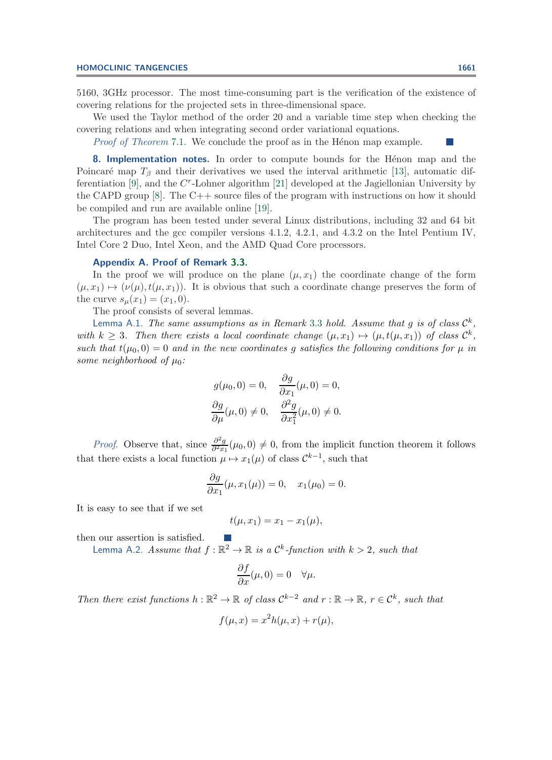5160, 3GHz processor. The most time-consuming part is the verification of the existence of covering relations for the projected sets in three-dimensional space.

We used the Taylor method of the order 20 and a variable time step when checking the covering relations and when integrating second order variational equations.

*Proof of Theorem* [7.1.](#page-24-0) We conclude the proof as in the Hénon map example.

**8. Implementation notes.** In order to compute bounds for the Hénon map and the Poincaré map  $T_\beta$  and their derivatives we used the interval arithmetic [\[13\]](#page-31-15), automatic dif-ferentiation [\[9\]](#page-31-20), and the  $C<sup>r</sup>$ -Lohner algorithm [\[21\]](#page-31-10) developed at the Jagiellonian University by the CAPD group  $[8]$ . The C++ source files of the program with instructions on how it should be compiled and run are available online [\[19\]](#page-31-21).

The program has been tested under several Linux distributions, including 32 and 64 bit architectures and the gcc compiler versions 4.1.2, 4.2.1, and 4.3.2 on the Intel Pentium IV, Intel Core 2 Duo, Intel Xeon, and the AMD Quad Core processors.

# <span id="page-29-0"></span>**Appendix A. Proof of Remark [3.3.](#page-5-3)**

In the proof we will produce on the plane  $(\mu, x_1)$  the coordinate change of the form  $(\mu, x_1) \mapsto (\nu(\mu), t(\mu, x_1))$ . It is obvious that such a coordinate change preserves the form of the curve  $s_{\mu}(x_1)=(x_1, 0)$ .

The proof consists of several lemmas.

Lemma A.1. *The same assumptions as in Remark* [3.3](#page-5-3) *hold. Assume that*  $q$  *is of class*  $C^k$ . *with*  $k \geq 3$ . Then there exists a local coordinate change  $(\mu, x_1) \mapsto (\mu, t(\mu, x_1))$  of class  $\mathcal{C}^k$ , *such that*  $t(\mu_0, 0) = 0$  *and in the new coordinates* g *satisfies the following conditions for*  $\mu$  *in some neighborhood of*  $\mu_0$ *:* 

$$
g(\mu_0, 0) = 0, \quad \frac{\partial g}{\partial x_1}(\mu, 0) = 0,
$$

$$
\frac{\partial g}{\partial \mu}(\mu, 0) \neq 0, \quad \frac{\partial^2 g}{\partial x_1^2}(\mu, 0) \neq 0.
$$

*Proof.* Observe that, since  $\frac{\partial^2 g}{\partial x_1}(\mu_0, 0) \neq 0$ , from the implicit function theorem it follows that there exists a local function  $\mu \mapsto x_1(\mu)$  of class  $\mathcal{C}^{k-1}$ , such that

$$
\frac{\partial g}{\partial x_1}(\mu, x_1(\mu)) = 0, \quad x_1(\mu_0) = 0.
$$

It is easy to see that if we set

$$
t(\mu, x_1) = x_1 - x_1(\mu),
$$

then our assertion is satisfied.

Lemma A.2. *Assume that*  $f : \mathbb{R}^2 \to \mathbb{R}$  *is a*  $\mathcal{C}^k$ *-function with*  $k > 2$ *, such that* 

$$
\frac{\partial f}{\partial x}(\mu,0) = 0 \quad \forall \mu.
$$

*Then there exist functions*  $h : \mathbb{R}^2 \to \mathbb{R}$  *of class*  $\mathcal{C}^{k-2}$  *and*  $r : \mathbb{R} \to \mathbb{R}$ *,*  $r \in \mathcal{C}^k$ *, such that* 

$$
f(\mu, x) = x^2 h(\mu, x) + r(\mu),
$$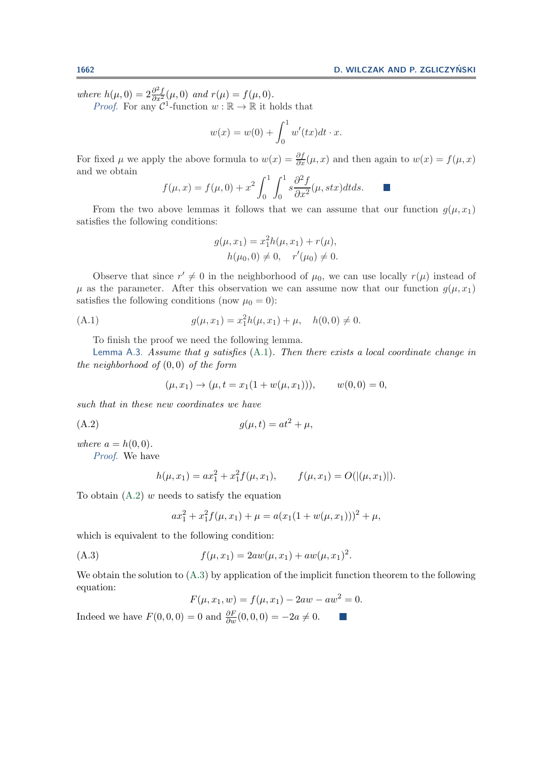*where*  $h(\mu, 0) = 2 \frac{\partial^2 f}{\partial x^2}(\mu, 0)$  *and*  $r(\mu) = f(\mu, 0)$ *.*<br>*Proof.* For any  $\mathcal{C}^1$ -function  $w : \mathbb{R} \to \mathbb{R}$  it holds that

$$
w(x) = w(0) + \int_0^1 w'(tx)dt \cdot x.
$$

For fixed  $\mu$  we apply the above formula to  $w(x) = \frac{\partial I}{\partial x}(\mu, x)$  and then again to  $w(x) = f(\mu, x)$ <br>and we obtain and we obtain

$$
f(\mu, x) = f(\mu, 0) + x^2 \int_0^1 \int_0^1 s \frac{\partial^2 f}{\partial x^2}(\mu, s \, dx) \, dt \, ds.
$$

From the two above lemmas it follows that we can assume that our function  $g(\mu, x_1)$ satisfies the following conditions:

$$
g(\mu, x_1) = x_1^2 h(\mu, x_1) + r(\mu),
$$
  
 
$$
h(\mu_0, 0) \neq 0, \quad r'(\mu_0) \neq 0.
$$

Observe that since  $r' \neq 0$  in the neighborhood of  $\mu_0$ , we can use locally  $r(\mu)$  instead of  $\mu$  as the parameter. After this observation we can assume now that our function  $g(\mu, x_1)$ satisfies the following conditions (now  $\mu_0 = 0$ ):

(A.1) 
$$
g(\mu, x_1) = x_1^2 h(\mu, x_1) + \mu, \quad h(0, 0) \neq 0.
$$

To finish the proof we need the following lemma.

Lemma A.3. *Assume that* <sup>g</sup> *satisfies* [\(A.1\)](#page-30-0)*. Then there exists a local coordinate change in the neighborhood of* (0, 0) *of the form*

<span id="page-30-1"></span><span id="page-30-0"></span>
$$
(\mu, x_1) \to (\mu, t = x_1(1 + w(\mu, x_1))), \qquad w(0, 0) = 0,
$$

*such that in these new coordinates we have*

$$
(A.2) \t\t g(\mu, t) = at^2 + \mu,
$$

*where*  $a = h(0, 0)$ *.* 

*Proof*. We have

$$
h(\mu, x_1) = ax_1^2 + x_1^2 f(\mu, x_1), \qquad f(\mu, x_1) = O(|(\mu, x_1)|).
$$

To obtain  $(A.2)$  w needs to satisfy the equation

$$
ax_1^2 + x_1^2 f(\mu, x_1) + \mu = a(x_1(1 + w(\mu, x_1)))^2 + \mu,
$$

which is equivalent to the following condition:

(A.3) 
$$
f(\mu, x_1) = 2aw(\mu, x_1) + aw(\mu, x_1)^2.
$$

We obtain the solution to  $(A.3)$  by application of the implicit function theorem to the following equation:

$$
F(\mu, x_1, w) = f(\mu, x_1) - 2aw - aw^2 = 0.
$$

<span id="page-30-2"></span> $\mathcal{L}_{\mathcal{A}}$ 

Indeed we have  $F(0, 0, 0) = 0$  and  $\frac{\partial F}{\partial w}(0, 0, 0) = -2a \neq 0$ .